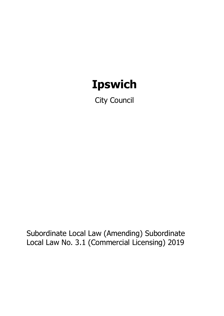# **Ipswich**

City Council

Subordinate Local Law (Amending) Subordinate Local Law No. 3.1 (Commercial Licensing) 2019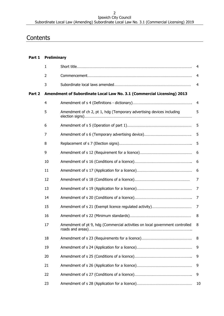#### Ipswich City Council Subordinate Local Law (Amending) Subordinate Local Law No. 3.1 (Commercial Licensing) 2019

# **Contents**

# **Part 1 Preliminary**

|        | $\mathbf{1}$     |                                                                              | $\overline{4}$ |
|--------|------------------|------------------------------------------------------------------------------|----------------|
|        | $\overline{2}$   |                                                                              | $\overline{4}$ |
|        | 3                |                                                                              | $\overline{4}$ |
| Part 2 |                  | Amendment of Subordinate Local Law No. 3.1 (Commercial Licensing) 2013       |                |
|        | $\overline{4}$   |                                                                              | $\overline{4}$ |
|        | 5                | Amendment of ch 2, pt 1, hdg (Temporary advertising devices including        | 5              |
|        | $\boldsymbol{6}$ |                                                                              | 5              |
|        | 7                |                                                                              | 5              |
|        | $\, 8$           |                                                                              | 5              |
|        | 9                |                                                                              | 6              |
|        | 10               |                                                                              | 6              |
|        | 11               |                                                                              | 6              |
|        | 12               |                                                                              | 7              |
|        | 13               |                                                                              | $\overline{7}$ |
|        | 14               |                                                                              | 7              |
|        | 15               |                                                                              | $\overline{7}$ |
|        | 16               |                                                                              | 8              |
|        | 17               | Amendment of pt 9, hdg (Commercial activities on local government controlled | 8              |
|        | 18               |                                                                              | 8              |
|        | 19               |                                                                              | 9              |
|        | 20               |                                                                              | 9              |
|        | 21               |                                                                              | 9              |
|        | 22               |                                                                              | 9              |
|        | 23               |                                                                              | 10             |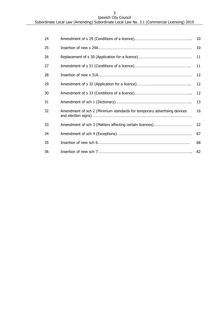| 24 |                                                                         | 10 |
|----|-------------------------------------------------------------------------|----|
| 25 |                                                                         | 10 |
| 26 |                                                                         | 11 |
| 27 |                                                                         | 11 |
| 28 |                                                                         | 12 |
| 29 |                                                                         | 12 |
| 30 |                                                                         | 12 |
| 31 |                                                                         | 13 |
| 32 | Amendment of sch 2 (Minimum standards for temporary advertising devices | 16 |
| 33 |                                                                         | 22 |
| 34 |                                                                         | 67 |
| 35 |                                                                         | 68 |
| 36 |                                                                         | 82 |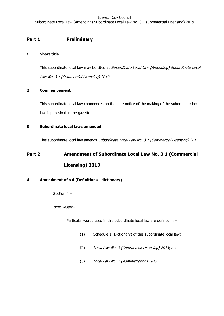# **Part 1 Preliminary**

## <span id="page-3-0"></span>**1 Short title**

This subordinate local law may be cited as Subordinate Local Law (Amending) Subordinate Local Law No. 3.1 (Commercial Licensing) 2019.

# <span id="page-3-1"></span>**2 Commencement**

This subordinate local law commences on the date notice of the making of the subordinate local law is published in the gazette.

# <span id="page-3-2"></span>**3 Subordinate local laws amended**

This subordinate local law amends Subordinate Local Law No. 3.1 (Commercial Licensing) 2013.

# **Part 2 Amendment of Subordinate Local Law No. 3.1 (Commercial Licensing) 2013**

# <span id="page-3-3"></span>**4 Amendment of s 4 (Definitions - dictionary)**

Section 4 –

omit, insert –

Particular words used in this subordinate local law are defined in –

- (1) Schedule 1 (Dictionary) of this subordinate local law;
- (2) Local Law No. 3 (Commercial Licensing) 2013; and
- (3) Local Law No. 1 (Administration) 2013.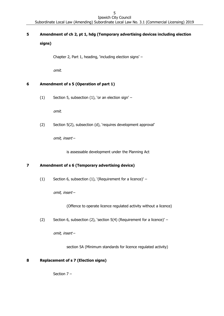#### 5 Ipswich City Council

Subordinate Local Law (Amending) Subordinate Local Law No. 3.1 (Commercial Licensing) 2019

# <span id="page-4-0"></span>**5 Amendment of ch 2, pt 1, hdg (Temporary advertising devices including election signs)**

Chapter 2, Part 1, heading, 'including election signs' –

omit.

# <span id="page-4-1"></span>**6 Amendment of s 5 (Operation of part 1)**

(1) Section 5, subsection (1), 'or an election sign' –

omit.

(2) Section 5(2), subsection (d), 'requires development approval'

omit, insert –

is assessable development under the Planning Act

#### <span id="page-4-2"></span>**7 Amendment of s 6 (Temporary advertising device)**

(1) Section 6, subsection (1), '(Requirement for a licence)' –

omit, insert –

(Offence to operate licence regulated activity without a licence)

(2) Section 6, subsection (2), 'section 5(4) (Requirement for a licence)' –

omit, insert –

section 5A (Minimum standards for licence regulated activity)

#### <span id="page-4-3"></span>**8 Replacement of s 7 (Election signs)**

Section 7 –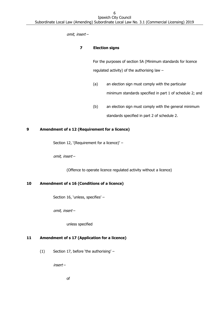omit, insert –

## **7 Election signs**

For the purposes of section 5A (Minimum standards for licence regulated activity) of the authorising law –

- (a) an election sign must comply with the particular minimum standards specified in part 1 of schedule 2; and
- (b) an election sign must comply with the general minimum standards specified in part 2 of schedule 2.

# <span id="page-5-0"></span>**9 Amendment of s 12 (Requirement for a licence)**

Section 12, '(Requirement for a licence)' –

omit, insert –

(Offence to operate licence regulated activity without a licence)

#### <span id="page-5-1"></span>**10 Amendment of s 16 (Conditions of a licence)**

Section 16, 'unless, specifies' –

omit, insert –

unless specified

# <span id="page-5-2"></span>**11 Amendment of s 17 (Application for a licence)**

(1) Section 17, before 'the authorising' –

insert –

of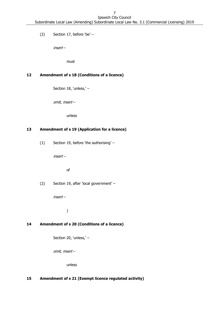(2) Section 17, before 'be' –

insert –

must

# <span id="page-6-0"></span>**12 Amendment of s 18 (Conditions of a licence)**

Section 18, 'unless,' –

omit, insert –

unless

#### <span id="page-6-1"></span>**13 Amendment of s 19 (Application for a licence)**

(1) Section 19, before 'the authorising' –

insert –

of

(2) Section 19, after 'local government' –

insert –

)

#### <span id="page-6-2"></span>**14 Amendment of s 20 (Conditions of a licence)**

Section 20, 'unless,' –

omit, insert –

unless

# <span id="page-6-3"></span>**15 Amendment of s 21 (Exempt licence regulated activity)**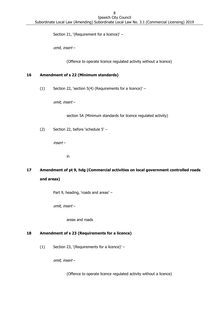Section 21, '(Requirement for a licence)' –

omit, insert –

(Offence to operate licence regulated activity without a licence)

## <span id="page-7-0"></span>**16 Amendment of s 22 (Minimum standards)**

(1) Section 22, 'section 5(4) (Requirements for a licence)' –

omit, insert –

section 5A (Minimum standards for licence regulated activity)

(2) Section 22, before 'schedule 5' –

insert –

in

<span id="page-7-1"></span>**17 Amendment of pt 9, hdg (Commercial activities on local government controlled roads and areas)**

Part 9, heading, 'roads and areas' –

omit, insert –

areas and roads

#### <span id="page-7-2"></span>**18 Amendment of s 23 (Requirements for a licence)**

(1) Section 23, '(Requirements for a licence)' –

omit, insert –

(Offence to operate licence regulated activity without a licence)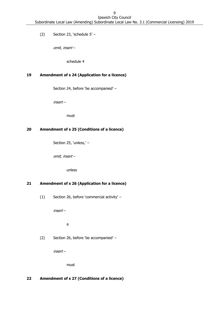(2) Section 23, 'schedule 5' –

omit, insert –

schedule 4

# <span id="page-8-0"></span>**19 Amendment of s 24 (Application for a licence)**

Section 24, before 'be accompanied' –

insert –

must

# <span id="page-8-1"></span>**20 Amendment of s 25 (Conditions of a licence)**

Section 25, 'unless,' –

omit, insert –

unless

# <span id="page-8-2"></span>**21 Amendment of s 26 (Application for a licence)**

(1) Section 26, before 'commercial activity' –

insert –

a

(2) Section 26, before 'be accompanied' –

insert –

must

#### <span id="page-8-3"></span>**22 Amendment of s 27 (Conditions of a licence)**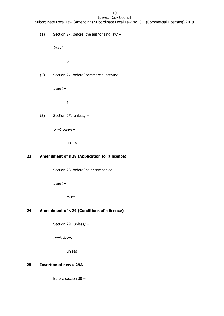Ipswich City Council Subordinate Local Law (Amending) Subordinate Local Law No. 3.1 (Commercial Licensing) 2019

(1) Section 27, before 'the authorising law' –

insert –

of

(2) Section 27, before 'commercial activity' –

insert –

a

(3) Section 27, 'unless,' –

omit, insert –

unless

# <span id="page-9-0"></span>**23 Amendment of s 28 (Application for a licence)**

Section 28, before 'be accompanied' –

insert –

must

# <span id="page-9-1"></span>**24 Amendment of s 29 (Conditions of a licence)**

Section 29, 'unless,' –

omit, insert –

unless

## <span id="page-9-2"></span>**25 Insertion of new s 29A**

Before section 30 –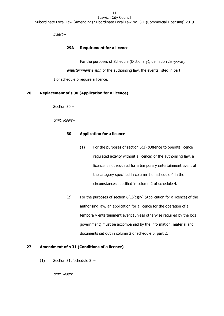insert –

#### **29A Requirement for a licence**

For the purposes of Schedule (Dictionary), definition temporary entertainment event, of the authorising law, the events listed in part 1 of schedule 6 require a licence.

#### <span id="page-10-0"></span>**26 Replacement of s 30 (Application for a licence)**

Section 30 –

omit, insert –

#### **30 Application for a licence**

- (1) For the purposes of section 5(3) (Offence to operate licence regulated activity without a licence) of the authorising law, a licence is not required for a temporary entertainment event of the category specified in column 1 of schedule 4 in the circumstances specified in column 2 of schedule 4.
- <span id="page-10-2"></span>(2) For the purposes of section  $6(1)(c)(iv)$  (Application for a licence) of the authorising law, an application for a licence for the operation of a temporary entertainment event (unless otherwise required by the local government) must be accompanied by the information, material and documents set out in column 2 of schedule 6, part 2.

#### <span id="page-10-1"></span>**27 Amendment of s 31 (Conditions of a licence)**

(1) Section 31, 'schedule  $3'$  –

omit, insert –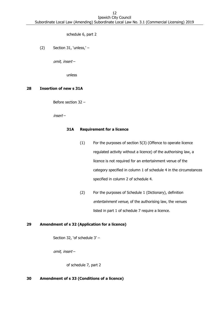schedule 6, part 2

(2) Section 31, 'unless,' –

omit, insert –

unless

#### <span id="page-11-0"></span>**28 Insertion of new s 31A**

Before section 32 –

insert –

#### **31A Requirement for a licence**

- (1) For the purposes of section 5(3) (Offence to operate licence regulated activity without a licence) of the authorising law, a licence is not required for an entertainment venue of the category specified in column 1 of schedule 4 in the circumstances specified in column 2 of schedule 4.
- (2) For the purposes of Schedule 1 (Dictionary), definition entertainment venue, of the authorising law, the venues listed in part 1 of schedule 7 require a licence.

#### <span id="page-11-1"></span>**29 Amendment of s 32 (Application for a licence)**

Section 32, 'of schedule 3' –

omit, insert –

of schedule 7, part 2

#### <span id="page-11-2"></span>**30 Amendment of s 33 (Conditions of a licence)**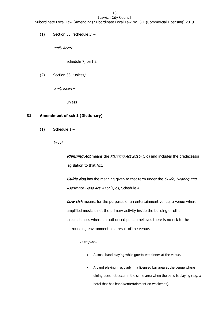(1) Section 33, 'schedule  $3'$  –

omit, insert –

schedule 7, part 2

(2) Section 33, 'unless,' –

omit, insert –

unless

#### <span id="page-12-0"></span>**31 Amendment of sch 1 (Dictionary)**

 $(1)$  Schedule  $1 -$ 

insert –

**Planning Act** means the Planning Act 2016 (Qld) and includes the predecessor legislation to that Act.

**Guide dog** has the meaning given to that term under the Guide, Hearing and Assistance Dogs Act 2009 (Qld), Schedule 4.

Low risk means, for the purposes of an entertainment venue, a venue where amplified music is not the primary activity inside the building or other circumstances where an authorised person believes there is no risk to the surrounding environment as a result of the venue.

#### Examples –

- A small band playing while guests eat dinner at the venue.
- A band playing irregularly in a licensed bar area at the venue where dining does not occur in the same area when the band is playing (e.g. a hotel that has bands/entertainment on weekends).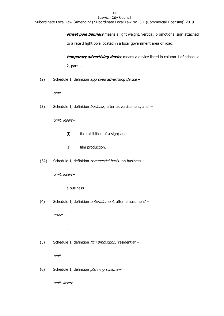**street pole banners** means a light weight, vertical, promotional sign attached

to a rate 3 light pole located in a local government area or road.

**temporary advertising device** means a device listed in column 1 of schedule 2, part 1.

(2) Schedule 1, definition *approved advertising device* -

omit.

(3) Schedule 1, definition business, after 'advertisement; and' -

omit, insert –

- (i) the exhibition of a sign; and
- (j) film production.
- (3A) Schedule 1, definition *commercial basis*, 'an business .' -

omit, insert –

a business.

(4) Schedule 1, definition entertainment, after 'amusement' -

insert –

.

(5) Schedule 1, definition *film production*, 'residential' -

omit.

(6) Schedule 1, definition planning scheme –

omit, insert –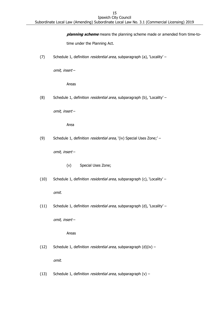**planning scheme** means the planning scheme made or amended from time-to-

time under the Planning Act.

(7) Schedule 1, definition residential area, subparagraph (a), 'Locality' –

omit, insert –

Areas

(8) Schedule 1, definition *residential area*, subparagraph (b), 'Locality' –

omit, insert –

Area

(9) Schedule 1, definition residential area, '(iv) Special Uses Zone;' -

omit, insert –

- (v) Special Uses Zone;
- (10) Schedule 1, definition residential area, subparagraph (c), 'Locality' –

omit.

(11) Schedule 1, definition *residential area*, subparagraph (d), 'Locality' –

omit, insert –

Areas

(12) Schedule 1, definition *residential area*, subparagraph  $(d)(iv)$  –

omit.

(13) Schedule 1, definition *residential area*, subparagraph  $(v)$  –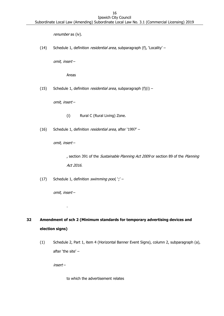renumber as (iv).

(14) Schedule 1, definition residential area, subparagraph (f), 'Locality' –

omit, insert –

Areas

(15) Schedule 1, definition *residential area*, subparagraph  $(f)(i)$  –

omit, insert –

(i) Rural C (Rural Living) Zone.

(16) Schedule 1, definition residential area, after '1997' -

omit, insert –

, section 391 of the Sustainable Planning Act 2009 or section 89 of the Planning Act 2016.

(17) Schedule 1, definition swimming pool,  $\dot{y}'$  –

omit, insert –

.

# <span id="page-15-0"></span>**32 Amendment of sch 2 (Minimum standards for temporary advertising devices and election signs)**

(1) Schedule 2, Part 1, item 4 (Horizontal Banner Event Signs), column 2, subparagraph (a), after 'the site' –

insert –

to which the advertisement relates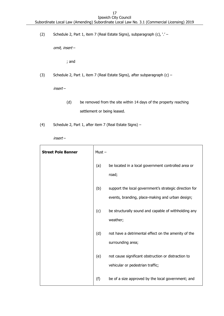(2) Schedule 2, Part 1, item 7 (Real Estate Signs), subparagraph (c), '.' –

omit, insert –

; and

(3) Schedule 2, Part 1, item 7 (Real Estate Signs), after subparagraph (c) –

insert –

- (d) be removed from the site within 14 days of the property reaching settlement or being leased.
- (4) Schedule 2, Part 1, after item 7 (Real Estate Signs) –

insert –

| <b>Street Pole Banner</b> | $Must -$ |                                                                                                            |
|---------------------------|----------|------------------------------------------------------------------------------------------------------------|
|                           | (a)      | be located in a local government controlled area or<br>road;                                               |
|                           | (b)      | support the local government's strategic direction for<br>events, branding, place-making and urban design; |
|                           | (c)      | be structurally sound and capable of withholding any<br>weather;                                           |
|                           | (d)      | not have a detrimental effect on the amenity of the<br>surrounding area;                                   |
|                           | (e)      | not cause significant obstruction or distraction to<br>vehicular or pedestrian traffic;                    |
|                           | (f)      | be of a size approved by the local government; and                                                         |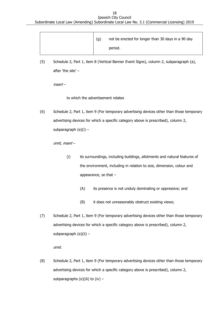18 Ipswich City Council

Subordinate Local Law (Amending) Subordinate Local Law No. 3.1 (Commercial Licensing) 2019

| (g) | not be erected for longer than 30 days in a 90 day |  |  |
|-----|----------------------------------------------------|--|--|
|     | period.                                            |  |  |

(5) Schedule 2, Part 1, item 8 (Vertical Banner Event Signs), column 2, subparagraph (a), after 'the site' –

insert –

to which the advertisement relates

(6) Schedule 2, Part 1, item 9 (For temporary advertising devices other than those temporary advertising devices for which a specific category above is prescribed), column 2, subparagraph (e)(i) –

omit, insert –

- (i) its surroundings, including buildings, allotments and natural features of the environment, including in relation to size, dimension, colour and appearance, so that –
	- (A) its presence is not unduly dominating or oppressive; and
	- (B) it does not unreasonably obstruct existing views;
- (7) Schedule 2, Part 1, item 9 (For temporary advertising devices other than those temporary advertising devices for which a specific category above is prescribed), column 2, subparagraph (e)(ii) –

omit.

(8) Schedule 2, Part 1, item 9 (For temporary advertising devices other than those temporary advertising devices for which a specific category above is prescribed), column 2, subparagraphs (e)(iii) to (iv)  $-$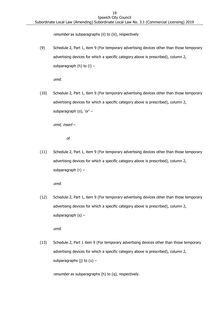renumber as subparagraphs (ii) to (iii), respectively

(9) Schedule 2, Part 1, item 9 (For temporary advertising devices other than those temporary advertising devices for which a specific category above is prescribed), column 2, subparagraph (h) to  $(i)$  –

omit.

(10) Schedule 2, Part 1, item 9 (For temporary advertising devices other than those temporary advertising devices for which a specific category above is prescribed), column 2, subparagraph (o), 'or' –

omit, insert –

of

(11) Schedule 2, Part 1, item 9 (For temporary advertising devices other than those temporary advertising devices for which a specific category above is prescribed), column 2, subparagraph (r) –

omit.

(12) Schedule 2, Part 1, item 9 (For temporary advertising devices other than those temporary advertising devices for which a specific category above is prescribed), column 2, subparagraph  $(s)$  –

omit.

(13) Schedule 2, Part 1 item 9 (For temporary advertising devices other than those temporary advertising devices for which a specific category above is prescribed), column 2, subparagraphs (j) to  $(u)$  –

renumber as subparagraphs (h) to (q), respectively.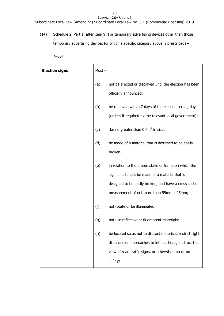(14) Schedule 2, Part 1, after item 9 (For temporary advertising devices other than those temporary advertising devices for which a specific category above is prescribed) –

insert –

| <b>Election signs</b> | $Must -$ |                                                                                                                                                                                                                 |
|-----------------------|----------|-----------------------------------------------------------------------------------------------------------------------------------------------------------------------------------------------------------------|
|                       | (a)      | not be erected or displayed until the election has been<br>officially announced;                                                                                                                                |
|                       | (b)      | be removed within 7 days of the election polling day<br>(or less if required by the relevant local government);                                                                                                 |
|                       | (c)      | be no greater than $0.6m^2$ in size;                                                                                                                                                                            |
|                       | (d)      | be made of a material that is designed to be easily<br>broken;                                                                                                                                                  |
|                       | (e)      | in relation to the timber stake or frame on which the<br>sign is fastened, be made of a material that is<br>designed to be easily broken, and have a cross section<br>measurement of not more than 55mm x 25mm; |
|                       | (f)      | not rotate or be illuminated;                                                                                                                                                                                   |
|                       | (g)      | not use reflective or fluorescent materials;                                                                                                                                                                    |
|                       | (h)      | be located so as not to distract motorists, restrict sight                                                                                                                                                      |
|                       |          | distances on approaches to intersections, obstruct the<br>view of road traffic signs, or otherwise impact on                                                                                                    |
|                       |          | safety;                                                                                                                                                                                                         |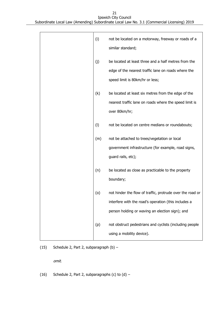#### 21 Ipswich City Council Subordinate Local Law (Amending) Subordinate Local Law No. 3.1 (Commercial Licensing) 2019

| (i) | not be located on a motorway, freeway or roads of a<br>similar standard;                                                                                             |
|-----|----------------------------------------------------------------------------------------------------------------------------------------------------------------------|
| (j) | be located at least three and a half metres from the<br>edge of the nearest traffic lane on roads where the<br>speed limit is 80km/hr or less;                       |
| (k) | be located at least six metres from the edge of the<br>nearest traffic lane on roads where the speed limit is<br>over 80km/hr;                                       |
| (1) | not be located on centre medians or roundabouts;                                                                                                                     |
| (m) | not be attached to trees/vegetation or local<br>government infrastructure (for example, road signs,<br>guard rails, etc);                                            |
| (n) | be located as close as practicable to the property<br>boundary;                                                                                                      |
| (o) | not hinder the flow of traffic, protrude over the road or<br>interfere with the road's operation (this includes a<br>person holding or waving an election sign); and |
| (p) | not obstruct pedestrians and cyclists (including people<br>using a mobility device).                                                                                 |

(15) Schedule 2, Part 2, subparagraph  $(b)$  –

omit.

(16) Schedule 2, Part 2, subparagraphs (c) to  $(d)$  –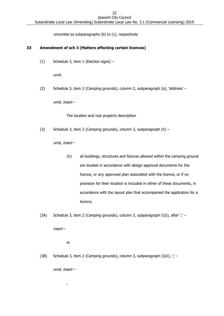renumber as subparagraphs (b) to (c), respectively

#### <span id="page-21-0"></span>**33 Amendment of sch 3 (Matters affecting certain licences)**

(1) Schedule 3, item 1 (Election signs) –

omit.

(2) Schedule 3, item 2 (Camping grounds), column 2, subparagraph (a), 'Address' –

omit, insert –

The location and real property description

(3) Schedule 3, item 2 (Camping grounds), column 3, subparagraph (h) –

omit, insert –

- (h) all buildings, structures and fixtures allowed within the camping ground are located in accordance with design approval documents for the licence, or any approved plan associated with the licence, or if no provision for their location is included in either of these documents, in accordance with the layout plan that accompanied the application for a licence;
- (3A) Schedule 3, item 2 (Camping grounds), column 3, subparagraph (i)(i), after ';' –

insert –

or

(3B) Schedule 3, item 2 (Camping grounds), column 3, subparagraph (i)(ii), ';' –

omit, insert –

,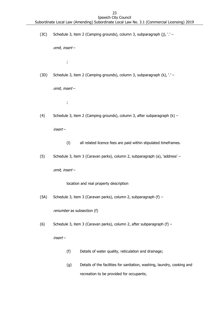(3C) Schedule 3, item 2 (Camping grounds), column 3, subparagraph (j), '.' –

omit, insert –

;

(3D) Schedule 3, item 2 (Camping grounds), column 3, subparagraph (k), '.' –

omit, insert –

;

(4) Schedule 3, item 2 (Camping grounds), column 3, after subparagraph (k) –

insert –

- (l) all related licence fees are paid within stipulated timeframes.
- (5) Schedule 3, item 3 (Caravan parks), column 2, subparagraph (a), 'address' –

omit, insert –

location and real property description

(5A) Schedule 3, item 3 (Caravan parks), column 2, subparagraph (f) –

renumber as subsection (f)

(6) Schedule 3, item 3 (Caravan parks), column 2, after subparagraph (f) –

insert –

- (f) Details of water quality, reticulation and drainage;
- (g) Details of the facilities for sanitation, washing, laundry, cooking and recreation to be provided for occupants;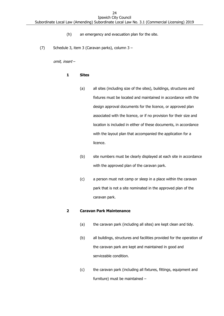- (h) an emergency and evacuation plan for the site.
- (7) Schedule 3, item 3 (Caravan parks), column 3 –

omit, insert –

#### **1 Sites**

- (a) all sites (including size of the sites), buildings, structures and fixtures must be located and maintained in accordance with the design approval documents for the licence, or approved plan associated with the licence, or if no provision for their size and location is included in either of these documents, in accordance with the layout plan that accompanied the application for a licence.
- (b) site numbers must be clearly displayed at each site in accordance with the approved plan of the caravan park.
- (c) a person must not camp or sleep in a place within the caravan park that is not a site nominated in the approved plan of the caravan park.

#### **2 Caravan Park Maintenance**

- (a) the caravan park (including all sites) are kept clean and tidy.
- (b) all buildings, structures and facilities provided for the operation of the caravan park are kept and maintained in good and serviceable condition.
- (c) the caravan park (including all fixtures, fittings, equipment and furniture) must be maintained –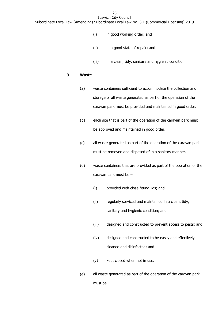- (i) in good working order; and
- (ii) in a good state of repair; and
- (iii) in a clean, tidy, sanitary and hygienic condition.

#### **3 Waste**

- (a) waste containers sufficient to accommodate the collection and storage of all waste generated as part of the operation of the caravan park must be provided and maintained in good order.
- (b) each site that is part of the operation of the caravan park must be approved and maintained in good order.
- (c) all waste generated as part of the operation of the caravan park must be removed and disposed of in a sanitary manner.
- (d) waste containers that are provided as part of the operation of the caravan park must be –
	- (i) provided with close fitting lids; and
	- (ii) regularly serviced and maintained in a clean, tidy, sanitary and hygienic condition; and
	- (iii) designed and constructed to prevent access to pests; and
	- (iv) designed and constructed to be easily and effectively cleaned and disinfected; and
	- (v) kept closed when not in use.
- (e) all waste generated as part of the operation of the caravan park must be –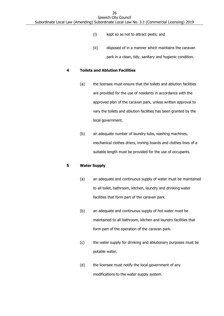- (i) kept so as not to attract pests; and
- (ii) disposed of in a manner which maintains the caravan park in a clean, tidy, sanitary and hygienic condition.

#### **4 Toilets and Ablution Facilities**

- (a) the licensee must ensure that the toilets and ablution facilities are provided for the use of residents in accordance with the approved plan of the caravan park, unless written approval to vary the toilets and ablution facilities has been granted by the local government.
- (b) an adequate number of laundry tubs, washing machines, mechanical clothes driers, ironing boards and clothes lines of a suitable length must be provided for the use of occupants.

#### **5 Water Supply**

- (a) an adequate and continuous supply of water must be maintained to all toilet, bathroom, kitchen, laundry and drinking water facilities that form part of the caravan park.
- (b) an adequate and continuous supply of hot water must be maintained to all bathroom, kitchen and laundry facilities that form part of the operation of the caravan park.
- (c) the water supply for drinking and ablutionary purposes must be potable water.
- (d) the licensee must notify the local government of any modifications to the water supply system.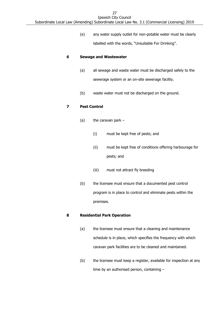Ipswich City Council Subordinate Local Law (Amending) Subordinate Local Law No. 3.1 (Commercial Licensing) 2019

> (e) any water supply outlet for non-potable water must be clearly labelled with the words, "Unsuitable For Drinking".

#### **6 Sewage and Wastewater**

- (a) all sewage and waste water must be discharged safely to the sewerage system or an on-site sewerage facility.
- (b) waste water must not be discharged on the ground.

#### **7 Pest Control**

- (a) the caravan park  $-$ 
	- (i) must be kept free of pests; and
	- (ii) must be kept free of conditions offering harbourage for pests; and
	- (iii) must not attract fly breeding
- (b) the licensee must ensure that a documented pest control program is in place to control and eliminate pests within the premises.

#### **8 Residential Park Operation**

- (a) the licensee must ensure that a cleaning and maintenance schedule is in place, which specifies the frequency with which caravan park facilities are to be cleaned and maintained.
- (b) the licensee must keep a register, available for inspection at any time by an authorised person, containing –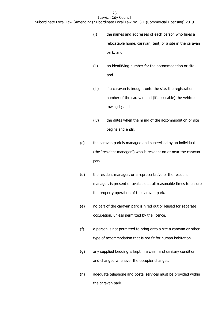- (i) the names and addresses of each person who hires a relocatable home, caravan, tent, or a site in the caravan park; and
- (ii) an identifying number for the accommodation or site; and
- (iii) if a caravan is brought onto the site, the registration number of the caravan and (if applicable) the vehicle towing it; and
- (iv) the dates when the hiring of the accommodation or site begins and ends.
- (c) the caravan park is managed and supervised by an individual (the "resident manager") who is resident on or near the caravan park.
- (d) the resident manager, or a representative of the resident manager, is present or available at all reasonable times to ensure the property operation of the caravan park.
- (e) no part of the caravan park is hired out or leased for separate occupation, unless permitted by the licence.
- (f) a person is not permitted to bring onto a site a caravan or other type of accommodation that is not fit for human habitation.
- (g) any supplied bedding is kept in a clean and sanitary condition and changed whenever the occupier changes.
- (h) adequate telephone and postal services must be provided within the caravan park.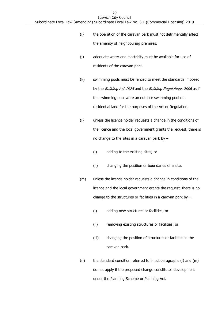- (i) the operation of the caravan park must not detrimentally affect the amenity of neighbouring premises.
- (j) adequate water and electricity must be available for use of residents of the caravan park.
- (k) swimming pools must be fenced to meet the standards imposed by the Building Act 1975 and the Building Regulations 2006 as if the swimming pool were an outdoor swimming pool on residential land for the purposes of the Act or Regulation.
- (l) unless the licence holder requests a change in the conditions of the licence and the local government grants the request, there is no change to the sites in a caravan park by  $-$ 
	- (i) adding to the existing sites; or
	- (ii) changing the position or boundaries of a site.
- (m) unless the licence holder requests a change in conditions of the licence and the local government grants the request, there is no change to the structures or facilities in a caravan park by  $-$ 
	- (i) adding new structures or facilities; or
	- (ii) removing existing structures or facilities; or
	- (iii) changing the position of structures or facilities in the caravan park.
- (n) the standard condition referred to in subparagraphs (l) and (m) do not apply if the proposed change constitutes development under the Planning Scheme or Planning Act.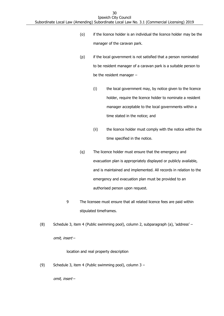- (o) if the licence holder is an individual the licence holder may be the manager of the caravan park.
- (p) if the local government is not satisfied that a person nominated to be resident manager of a caravan park is a suitable person to be the resident manager –
	- (i) the local government may, by notice given to the licence holder, require the licence holder to nominate a resident manager acceptable to the local governments within a time stated in the notice; and
	- (ii) the licence holder must comply with the notice within the time specified in the notice.
- (q) The licence holder must ensure that the emergency and evacuation plan is appropriately displayed or publicly available, and is maintained and implemented. All records in relation to the emergency and evacuation plan must be provided to an authorised person upon request.
- 9 The licensee must ensure that all related licence fees are paid within stipulated timeframes.
- (8) Schedule 3, item 4 (Public swimming pool), column 2, subparagraph (a), 'address' –

omit, insert –

location and real property description

(9) Schedule 3, item 4 (Public swimming pool), column 3 –

omit, insert –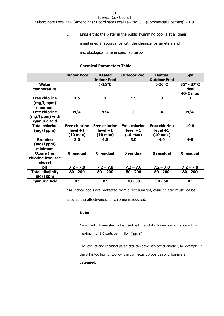31

Ipswich City Council Subordinate Local Law (Amending) Subordinate Local Law No. 3.1 (Commercial Licensing) 2019

1 Ensure that the water in the public swimming pool is at all times

maintained in accordance with the chemical parameters and

microbiological criteria specified below.

#### **Chemical Parameters Table**

|                                                          | <b>Indoor Pool</b>                                        | <b>Heated</b><br><b>Indoor Pool</b>                       | <b>Outdoor Pool</b>                                       | <b>Heated</b><br><b>Outdoor Pool</b>                      | <b>Spa</b>                                      |
|----------------------------------------------------------|-----------------------------------------------------------|-----------------------------------------------------------|-----------------------------------------------------------|-----------------------------------------------------------|-------------------------------------------------|
| <b>Water</b><br>temperature                              |                                                           | $>26^{\circ}C$                                            |                                                           | $>26^{\circ}C$                                            | $35^{\circ} - 37^{\circ}C$<br>ideal<br>40°C max |
| <b>Free chlorine</b><br>(mg/l, ppm)<br>minimum           | 1.5                                                       | $\overline{2}$                                            | 1.5                                                       | 3                                                         | 3                                               |
| <b>Free chlorine</b><br>(mg/l ppm) with<br>cyanuric acid | N/A                                                       | N/A                                                       | 3                                                         | 4                                                         | N/A                                             |
| <b>Total chlorine</b><br>$(mg/l$ ppm $)$                 | <b>Free chlorine</b><br>$level + 1$<br>$(10 \text{ max})$ | <b>Free chlorine</b><br>$level + 1$<br>$(10 \text{ max})$ | <b>Free chlorine</b><br>$level + 1$<br>$(10 \text{ max})$ | <b>Free chlorine</b><br>$level + 1$<br>$(10 \text{ max})$ | 10.0                                            |
| <b>Bromine</b><br>$(mg/l$ ppm $)$<br>minimum             | 3.0                                                       | 4.0                                                       | 3.0                                                       | 4.0                                                       | $4 - 6$                                         |
| Ozone (for<br>chlorine level see<br>above)               | 0 residual                                                | 0 residual                                                | 0 residual                                                | 0 residual                                                | 0 residual                                      |
| рH                                                       | $7.2 - 7.8$                                               | $7.2 - 7.8$                                               | $7.2 - 7.8$                                               | $7.2 - 7.8$                                               | $7.2 - 7.8$                                     |
| <b>Total alkalinity</b><br>mg/l ppm                      | $80 - 200$                                                | $80 - 200$                                                | $80 - 200$                                                | $80 - 200$                                                | $80 - 200$                                      |
| <b>Cyanuric Acid</b>                                     | 0*                                                        | 0*                                                        | $30 - 50$                                                 | $30 - 50$                                                 | $0*$                                            |

\*As indoor pools are protected from direct sunlight, cyaruric acid must not be

used as the effectiveness of chlorine is reduced.

#### **Note:**

Combined chlorine shall not exceed half the total chlorine concentration with a maximum of 1.0 parts per million ("ppm").

The level of one chemical parameter can adversely affect another, for example, if the pH is too high or too low the disinfectant properties of chlorine are decreased.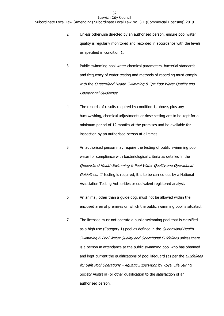- 2 Unless otherwise directed by an authorised person, ensure pool water quality is regularly monitored and recorded in accordance with the levels as specified in condition 1.
- 3 Public swimming pool water chemical parameters, bacterial standards and frequency of water testing and methods of recording must comply with the Queensland Health Swimming & Spa Pool Water Quality and Operational Guidelines.
- 4 The records of results required by condition 1, above, plus any backwashing, chemical adjustments or dose setting are to be kept for a minimum period of 12 months at the premises and be available for inspection by an authorised person at all times.
- 5 An authorised person may require the testing of public swimming pool water for compliance with bacteriological criteria as detailed in the Queensland Health Swimming & Pool Water Quality and Operational Guidelines. If testing is required, it is to be carried out by a National Association Testing Authorities or equivalent registered analyst.
- 6 An animal, other than a guide dog, must not be allowed within the enclosed area of premises on which the public swimming pool is situated.
- 7 The licensee must not operate a public swimming pool that is classified as a high use (Category 1) pool as defined in the *Queensland Health* Swimming & Pool Water Quality and Operational Guidelines unless there is a person in attendance at the public swimming pool who has obtained and kept current the qualifications of pool lifeguard (as per the Guidelines for Safe Pool Operations - Aquatic Supervision by Royal Life Saving Society Australia) or other qualification to the satisfaction of an authorised person.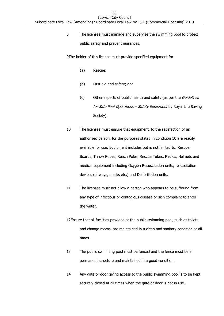8 The licensee must manage and supervise the swimming pool to protect public safety and prevent nuisances.

9The holder of this licence must provide specified equipment for -

- (a) Rescue;
- (b) First aid and safety; and
- (c) Other aspects of public health and safety (as per the *Guidelines* for Safe Pool Operations - Safety Equipment by Royal Life Saving Society).
- 10 The licensee must ensure that equipment, to the satisfaction of an authorised person, for the purposes stated in condition 10 are readily available for use. Equipment includes but is not limited to: Rescue Boards, Throw Ropes, Reach Poles, Rescue Tubes, Radios, Helmets and medical equipment including Oxygen Resuscitation units, resuscitation devices (airways, masks etc.) and Defibrillation units.
- 11 The licensee must not allow a person who appears to be suffering from any type of infectious or contagious disease or skin complaint to enter the water.
- 12Ensure that all facilities provided at the public swimming pool, such as toilets and change rooms, are maintained in a clean and sanitary condition at all times.
- 13 The public swimming pool must be fenced and the fence must be a permanent structure and maintained in a good condition.
- 14 Any gate or door giving access to the public swimming pool is to be kept securely closed at all times when the gate or door is not in use.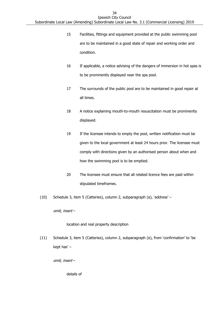- 15 Facilities, fittings and equipment provided at the public swimming pool are to be maintained in a good state of repair and working order and condition.
- 16 If applicable, a notice advising of the dangers of immersion in hot spas is to be prominently displayed near the spa pool.
- 17 The surrounds of the public pool are to be maintained in good repair at all times.
- 18 A notice explaining mouth-to-mouth resuscitation must be prominently displayed.
- 19 If the licensee intends to empty the pool, written notification must be given to the local government at least 24 hours prior. The licensee must comply with directions given by an authorised person about when and how the swimming pool is to be emptied.
- 20 The licensee must ensure that all related licence fees are paid within stipulated timeframes.
- (10) Schedule 3, item 5 (Catteries), column 2, subparagraph (a), 'address' –

omit, insert –

location and real property description

(11) Schedule 3, item 5 (Catteries), column 2, subparagraph (e), from 'confirmation' to 'be kept has' –

omit, insert –

details of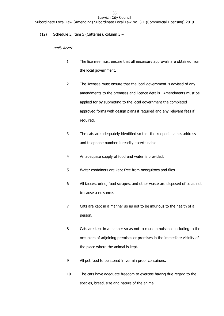(12) Schedule 3, item 5 (Catteries), column 3 –

omit, insert –

- 1 The licensee must ensure that all necessary approvals are obtained from the local government.
- 2 The licensee must ensure that the local government is advised of any amendments to the premises and licence details. Amendments must be applied for by submitting to the local government the completed approved forms with design plans if required and any relevant fees if required.
- 3 The cats are adequately identified so that the keeper's name, address and telephone number is readily ascertainable.
- 4 An adequate supply of food and water is provided.
- 5 Water containers are kept free from mosquitoes and flies.
- 6 All faeces, urine, food scrapes, and other waste are disposed of so as not to cause a nuisance.
- 7 Cats are kept in a manner so as not to be injurious to the health of a person.
- 8 Cats are kept in a manner so as not to cause a nuisance including to the occupiers of adjoining premises or premises in the immediate vicinity of the place where the animal is kept.
- 9 All pet food to be stored in vermin proof containers.
- 10 The cats have adequate freedom to exercise having due regard to the species, breed, size and nature of the animal.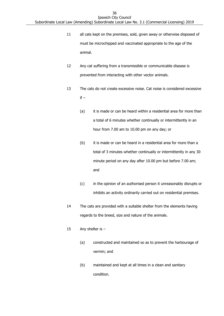- 11 all cats kept on the premises, sold, given away or otherwise disposed of must be microchipped and vaccinated appropriate to the age of the animal.
- 12 Any cat suffering from a transmissible or communicable disease is prevented from interacting with other vector animals.
- 13 The cats do not create excessive noise. Cat noise is considered excessive  $if -$ 
	- (a) it is made or can be heard within a residential area for more than a total of 6 minutes whether continually or intermittently in an hour from 7.00 am to 10.00 pm on any day; or
	- (b) it is made or can be heard in a residential area for more than a total of 3 minutes whether continually or intermittently in any 30 minute period on any day after 10.00 pm but before 7.00 am; and
	- (c) in the opinion of an authorised person it unreasonably disrupts or inhibits an activity ordinarily carried out on residential premises.
- 14 The cats are provided with a suitable shelter from the elements having regards to the breed, size and nature of the animals.
- 15 Any shelter is
	- (a) constructed and maintained so as to prevent the harbourage of vermin; and
	- (b) maintained and kept at all times in a clean and sanitary condition.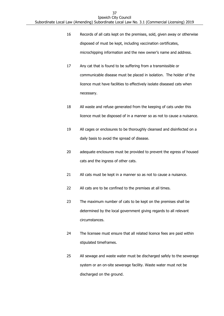- 16 Records of all cats kept on the premises, sold, given away or otherwise disposed of must be kept, including vaccination certificates, microchipping information and the new owner's name and address.
- 17 Any cat that is found to be suffering from a transmissible or communicable disease must be placed in isolation. The holder of the licence must have facilities to effectively isolate diseased cats when necessary.
- 18 All waste and refuse generated from the keeping of cats under this licence must be disposed of in a manner so as not to cause a nuisance.
- 19 All cages or enclosures to be thoroughly cleansed and disinfected on a daily basis to avoid the spread of disease.
- 20 adequate enclosures must be provided to prevent the egress of housed cats and the ingress of other cats.
- 21 All cats must be kept in a manner so as not to cause a nuisance.
- 22 All cats are to be confined to the premises at all times.
- 23 The maximum number of cats to be kept on the premises shall be determined by the local government giving regards to all relevant circumstances.
- 24 The licensee must ensure that all related licence fees are paid within stipulated timeframes.
- 25 All sewage and waste water must be discharged safely to the sewerage system or an on-site sewerage facility. Waste water must not be discharged on the ground.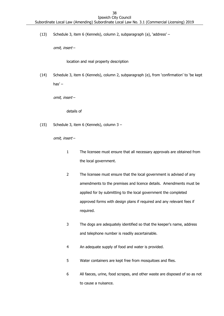(13) Schedule 3, item 6 (Kennels), column 2, subparagraph (a), 'address' –

omit, insert –

location and real property description

(14) Schedule 3, item 6 (Kennels), column 2, subparagraph (e), from 'confirmation' to 'be kept has' –

omit, insert –

details of

(15) Schedule 3, item 6 (Kennels), column 3 –

- 1 The licensee must ensure that all necessary approvals are obtained from the local government.
- 2 The licensee must ensure that the local government is advised of any amendments to the premises and licence details. Amendments must be applied for by submitting to the local government the completed approved forms with design plans if required and any relevant fees if required.
- 3 The dogs are adequately identified so that the keeper's name, address and telephone number is readily ascertainable.
- 4 An adequate supply of food and water is provided.
- 5 Water containers are kept free from mosquitoes and flies.
- 6 All faeces, urine, food scrapes, and other waste are disposed of so as not to cause a nuisance.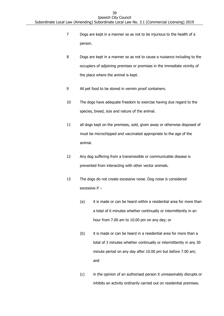- 7 Dogs are kept in a manner so as not to be injurious to the health of a person.
- 8 Dogs are kept in a manner so as not to cause a nuisance including to the occupiers of adjoining premises or premises in the immediate vicinity of the place where the animal is kept.
- 9 All pet food to be stored in vermin proof containers.
- 10 The dogs have adequate freedom to exercise having due regard to the species, breed, size and nature of the animal.
- 11 all dogs kept on the premises, sold, given away or otherwise disposed of must be microchipped and vaccinated appropriate to the age of the animal.
- 12 Any dog suffering from a transmissible or communicable disease is prevented from interacting with other vector animals.
- 13 The dogs do not create excessive noise. Dog noise is considered excessive if –
	- (a) it is made or can be heard within a residential area for more than a total of 6 minutes whether continually or intermittently in an hour from 7.00 am to 10.00 pm on any day; or
	- (b) it is made or can be heard in a residential area for more than a total of 3 minutes whether continually or intermittently in any 30 minute period on any day after 10.00 pm but before 7.00 am; and
	- (c) in the opinion of an authorised person it unreasonably disrupts or inhibits an activity ordinarily carried out on residential premises.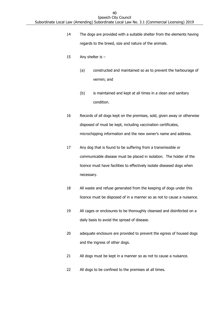- 14 The dogs are provided with a suitable shelter from the elements having regards to the breed, size and nature of the animals.
- 15 Any shelter is
	- (a) constructed and maintained so as to prevent the harbourage of vermin; and
	- (b) is maintained and kept at all times in a clean and sanitary condition.
- 16 Records of all dogs kept on the premises, sold, given away or otherwise disposed of must be kept, including vaccination certificates, microchipping information and the new owner's name and address.
- 17 Any dog that is found to be suffering from a transmissible or communicable disease must be placed in isolation. The holder of the licence must have facilities to effectively isolate diseased dogs when necessary.
- 18 All waste and refuse generated from the keeping of dogs under this licence must be disposed of in a manner so as not to cause a nuisance.
- 19 All cages or enclosures to be thoroughly cleansed and disinfected on a daily basis to avoid the spread of disease.
- 20 adequate enclosure are provided to prevent the egress of housed dogs and the ingress of other dogs.
- 21 All dogs must be kept in a manner so as not to cause a nuisance.
- 22 All dogs to be confined to the premises at all times.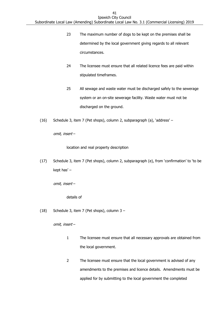- 23 The maximum number of dogs to be kept on the premises shall be determined by the local government giving regards to all relevant circumstances.
- 24 The licensee must ensure that all related licence fees are paid within stipulated timeframes.
- 25 All sewage and waste water must be discharged safely to the sewerage system or an on-site sewerage facility. Waste water must not be discharged on the ground.
- (16) Schedule 3, item 7 (Pet shops), column 2, subparagraph (a), 'address' –

omit, insert –

location and real property description

(17) Schedule 3, item 7 (Pet shops), column 2, subparagraph (e), from 'confirmation' to 'to be kept has' –

omit, insert –

details of

(18) Schedule 3, item 7 (Pet shops), column 3 –

- 1 The licensee must ensure that all necessary approvals are obtained from the local government.
- 2 The licensee must ensure that the local government is advised of any amendments to the premises and licence details. Amendments must be applied for by submitting to the local government the completed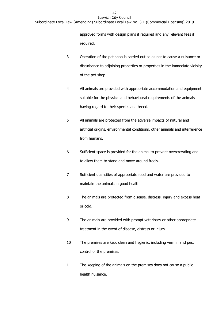approved forms with design plans if required and any relevant fees if required.

- 3 Operation of the pet shop is carried out so as not to cause a nuisance or disturbance to adjoining properties or properties in the immediate vicinity of the pet shop.
- 4 All animals are provided with appropriate accommodation and equipment suitable for the physical and behavioural requirements of the animals having regard to their species and breed.
- 5 All animals are protected from the adverse impacts of natural and artificial origins, environmental conditions, other animals and interference from humans.
- 6 Sufficient space is provided for the animal to prevent overcrowding and to allow them to stand and move around freely.
- 7 Sufficient quantities of appropriate food and water are provided to maintain the animals in good health.
- 8 The animals are protected from disease, distress, injury and excess heat or cold.
- 9 The animals are provided with prompt veterinary or other appropriate treatment in the event of disease, distress or injury.
- 10 The premises are kept clean and hygienic, including vermin and pest control of the premises.
- 11 The keeping of the animals on the premises does not cause a public health nuisance.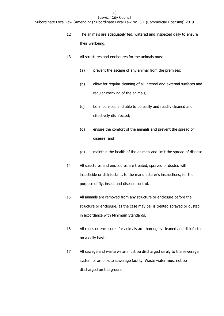- 12 The animals are adequately fed, watered and inspected daily to ensure their wellbeing.
- 13 All structures and enclosures for the animals must
	- (a) prevent the escape of any animal from the premises;
	- (b) allow for regular cleaning of all internal and external surfaces and regular checking of the animals;
	- (c) be impervious and able to be easily and readily cleaned and effectively disinfected;
	- (d) ensure the comfort of the animals and prevent the spread of disease; and
	- (e) maintain the health of the animals and limit the spread of disease
- 14 All structures and enclosures are treated, sprayed or dusted with insecticide or disinfectant, to the manufacturer's instructions, for the purpose of fly, insect and disease control.
- 15 All animals are removed from any structure or enclosure before the structure or enclosure, as the case may be, is treated sprayed or dusted in accordance with Minimum Standards.
- 16 All cases or enclosures for animals are thoroughly cleaned and disinfected on a daily basis.
- 17 All sewage and waste water must be discharged safely to the sewerage system or an on-site sewerage facility. Waste water must not be discharged on the ground.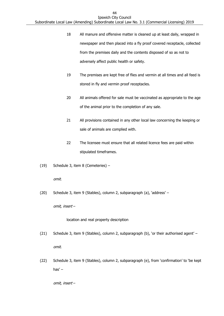- 18 All manure and offensive matter is cleaned up at least daily, wrapped in newspaper and then placed into a fly proof covered receptacle, collected from the premises daily and the contents disposed of so as not to adversely affect public health or safety.
- 19 The premises are kept free of flies and vermin at all times and all feed is stored in fly and vermin proof receptacles.
- 20 All animals offered for sale must be vaccinated as appropriate to the age of the animal prior to the completion of any sale.
- 21 All provisions contained in any other local law concerning the keeping or sale of animals are complied with.
- 22 The licensee must ensure that all related licence fees are paid within stipulated timeframes.
- (19) Schedule 3, item 8 (Cemeteries) –

omit.

(20) Schedule 3, item 9 (Stables), column 2, subparagraph (a), 'address' –

omit, insert –

location and real property description

- (21) Schedule 3, item 9 (Stables), column 2, subparagraph (b), 'or their authorised agent' omit.
- (22) Schedule 3, item 9 (Stables), column 2, subparagraph (e), from 'confirmation' to 'be kept has $'$  –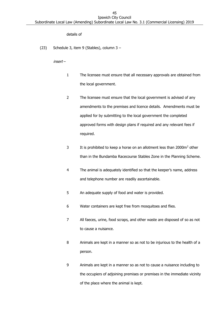### details of

(23) Schedule 3, item 9 (Stables), column 3 –

insert –

- 1 The licensee must ensure that all necessary approvals are obtained from the local government.
- 2 The licensee must ensure that the local government is advised of any amendments to the premises and licence details. Amendments must be applied for by submitting to the local government the completed approved forms with design plans if required and any relevant fees if required.
- 3 It is prohibited to keep a horse on an allotment less than 2000m<sup>2</sup> other than in the Bundamba Racecourse Stables Zone in the Planning Scheme.
- 4 The animal is adequately identified so that the keeper's name, address and telephone number are readily ascertainable.
- 5 An adequate supply of food and water is provided.
- 6 Water containers are kept free from mosquitoes and flies.
- 7 All faeces, urine, food scraps, and other waste are disposed of so as not to cause a nuisance.
- 8 Animals are kept in a manner so as not to be injurious to the health of a person.
- 9 Animals are kept in a manner so as not to cause a nuisance including to the occupiers of adjoining premises or premises in the immediate vicinity of the place where the animal is kept.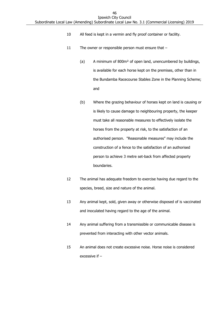- 10 All feed is kept in a vermin and fly proof container or facility.
- 11 The owner or responsible person must ensure that
	- (a) A minimum of 800m² of open land, unencumbered by buildings, is available for each horse kept on the premises, other than in the Bundamba Racecourse Stables Zone in the Planning Scheme; and
	- (b) Where the grazing behaviour of horses kept on land is causing or is likely to cause damage to neighbouring property, the keeper must take all reasonable measures to effectively isolate the horses from the property at risk, to the satisfaction of an authorised person. "Reasonable measures" may include the construction of a fence to the satisfaction of an authorised person to achieve 3 metre set-back from affected property boundaries.
- 12 The animal has adequate freedom to exercise having due regard to the species, breed, size and nature of the animal.
- 13 Any animal kept, sold, given away or otherwise disposed of is vaccinated and inoculated having regard to the age of the animal.
- 14 Any animal suffering from a transmissible or communicable disease is prevented from interacting with other vector animals.
- 15 An animal does not create excessive noise. Horse noise is considered excessive if –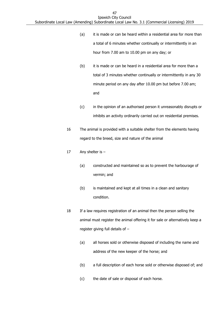- (a) it is made or can be heard within a residential area for more than a total of 6 minutes whether continually or intermittently in an hour from 7.00 am to 10.00 pm on any day; or
- (b) it is made or can be heard in a residential area for more than a total of 3 minutes whether continually or intermittently in any 30 minute period on any day after 10.00 pm but before 7.00 am; and
- (c) in the opinion of an authorised person it unreasonably disrupts or inhibits an activity ordinarily carried out on residential premises.
- 16 The animal is provided with a suitable shelter from the elements having regard to the breed, size and nature of the animal
- 17 Any shelter is
	- (a) constructed and maintained so as to prevent the harbourage of vermin; and
	- (b) is maintained and kept at all times in a clean and sanitary condition.
- 18 If a law requires registration of an animal then the person selling the animal must register the animal offering it for sale or alternatively keep a register giving full details of –
	- (a) all horses sold or otherwise disposed of including the name and address of the new keeper of the horse; and
	- (b) a full description of each horse sold or otherwise disposed of; and
	- (c) the date of sale or disposal of each horse.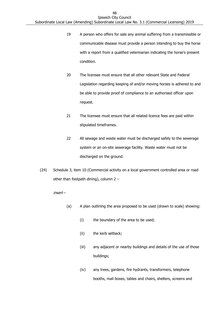- 19 A person who offers for sale any animal suffering from a transmissible or communicable disease must provide a person intending to buy the horse with a report from a qualified veterinarian indicating the horse's present condition.
- 20 The licensee must ensure that all other relevant State and Federal Legislation regarding keeping of and/or moving horses is adhered to and be able to provide proof of compliance to an authorised officer upon request.
- 21 The licensee must ensure that all related licence fees are paid within stipulated timeframes.
- 22 All sewage and waste water must be discharged safely to the sewerage system or an on-site sewerage facility. Waste water must not be discharged on the ground.
- (24) Schedule 3, item 10 (Commercial activity on a local government controlled area or road other than footpath dining), column 2 –

insert –

- (a) A plan outlining the area proposed to be used (drawn to scale) showing:
	- (i) the boundary of the area to be used;
	- (ii) the kerb setback;
	- (iii) any adjacent or nearby buildings and details of the use of those buildings;
	- (iv) any trees, gardens, fire hydrants, transformers, telephone booths, mail boxes, tables and chairs, shelters, screens and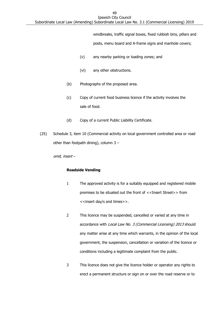windbreaks, traffic signal boxes, fixed rubbish bins, pillars and

posts, menu board and A-frame signs and manhole covers;

- (v) any nearby parking or loading zones; and
- (vi) any other obstructions.
- (b) Photographs of the proposed area.
- (c) Copy of current food business licence if the activity involves the sale of food.
- (d) Copy of a current Public Liability Certificate.
- (25) Schedule 3, item 10 (Commercial activity on local government controlled area or road other than footpath dining), column  $3 -$

omit, insert –

### **Roadside Vending**

- 1 The approved activity is for a suitably equipped and registered mobile premises to be situated out the front of <<Insert Street>> from <<insert day/s and times>>.
- 2 This licence may be suspended, cancelled or varied at any time in accordance with Local Law No. 3 (Commercial Licensing) 2013 should any matter arise at any time which warrants, in the opinion of the local government, the suspension, cancellation or variation of the licence or conditions including a legitimate complaint from the public.
- 3 This licence does not give the licence holder or operator any rights to erect a permanent structure or sign on or over the road reserve or to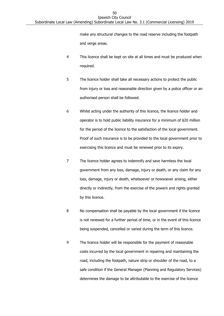make any structural changes to the road reserve including the footpath and verge areas.

- 4 This licence shall be kept on site at all times and must be produced when required.
- 5 The licence holder shall take all necessary actions to protect the public from injury or loss and reasonable direction given by a police officer or an authorised person shall be followed.
- 6 Whilst acting under the authority of this licence, the licence holder and operator is to hold public liability insurance for a minimum of \$20 million for the period of the licence to the satisfaction of the local government. Proof of such insurance is to be provided to the local government prior to exercising this licence and must be renewed prior to its expiry.
- 7 The licence holder agrees to indemnify and save harmless the local government from any loss, damage, injury or death, or any claim for any loss, damage, injury or death, whatsoever or howsoever arising, either directly or indirectly, from the exercise of the powers and rights granted by this licence.
- 8 No compensation shall be payable by the local government if the licence is not renewed for a further period of time, or in the event of this licence being suspended, cancelled or varied during the term of this licence.
- 9 The licence holder will be responsible for the payment of reasonable costs incurred by the local government in repairing and maintaining the road, including the footpath, nature strip or shoulder of the road, to a safe condition if the General Manager (Planning and Regulatory Services) determines the damage to be attributable to the exercise of the licence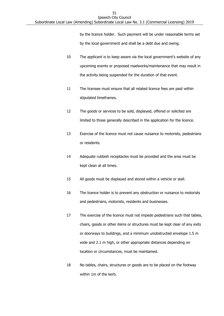by the licence holder. Such payment will be under reasonable terms set by the local government and shall be a debt due and owing.

- 10 The applicant is to keep aware via the local government's website of any upcoming events or proposed roadworks/maintenance that may result in the activity being suspended for the duration of that event.
- 11 The licensee must ensure that all related licence fees are paid within stipulated timeframes.
- 12 The goods or services to be sold, displayed, offered or solicited are limited to those generally described in the application for the licence.
- 13 Exercise of the licence must not cause nuisance to motorists, pedestrians or residents.
- 14 Adequate rubbish receptacles must be provided and the area must be kept clean at all times.
- 15 All goods must be displayed and stored within a vehicle or stall.
- 16 The licence holder is to prevent any obstruction or nuisance to motorists and pedestrians, motorists, residents and businesses.
- 17 The exercise of the licence must not impede pedestrians such that tables, chairs, goods or other items or structures must be kept clear of any exits or doorways to buildings, and a minimum unobstructed envelope 1.5 m wide and 2.1 m high, or other appropriate distances depending on location or circumstances, must be maintained.
- 18 No tables, chairs, structures or goods are to be placed on the footway within 1m of the kerb.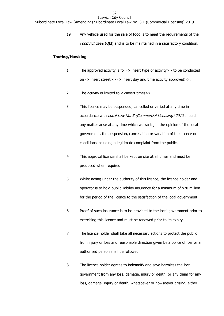19 Any vehicle used for the sale of food is to meet the requirements of the Food Act 2006 (Qld) and is to be maintained in a satisfactory condition.

### **Touting/Hawking**

- 1 The approved activity is for <<insert type of activity>> to be conducted on <<insert street>> <<insert day and time activity approved>>.
- 2 The activity is limited to <<insert times>>.
- 3 This licence may be suspended, cancelled or varied at any time in accordance with Local Law No. 3 (Commercial Licensing) 2013 should any matter arise at any time which warrants, in the opinion of the local government, the suspension, cancellation or variation of the licence or conditions including a legitimate complaint from the public.
- 4 This approval licence shall be kept on site at all times and must be produced when required.
- 5 Whilst acting under the authority of this licence, the licence holder and operator is to hold public liability insurance for a minimum of \$20 million for the period of the licence to the satisfaction of the local government.
- 6 Proof of such insurance is to be provided to the local government prior to exercising this licence and must be renewed prior to its expiry.
- 7 The licence holder shall take all necessary actions to protect the public from injury or loss and reasonable direction given by a police officer or an authorised person shall be followed.
- 8 The licence holder agrees to indemnify and save harmless the local government from any loss, damage, injury or death, or any claim for any loss, damage, injury or death, whatsoever or howsoever arising, either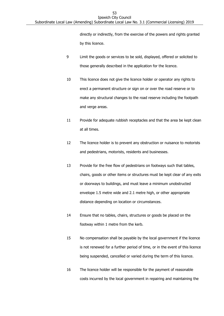directly or indirectly, from the exercise of the powers and rights granted by this licence.

- 9 Limit the goods or services to be sold, displayed, offered or solicited to those generally described in the application for the licence.
- 10 This licence does not give the licence holder or operator any rights to erect a permanent structure or sign on or over the road reserve or to make any structural changes to the road reserve including the footpath and verge areas.
- 11 Provide for adequate rubbish receptacles and that the area be kept clean at all times.
- 12 The licence holder is to prevent any obstruction or nuisance to motorists and pedestrians, motorists, residents and businesses.
- 13 Provide for the free flow of pedestrians on footways such that tables, chairs, goods or other items or structures must be kept clear of any exits or doorways to buildings, and must leave a minimum unobstructed envelope 1.5 metre wide and 2.1 metre high, or other appropriate distance depending on location or circumstances.
- 14 Ensure that no tables, chairs, structures or goods be placed on the footway within 1 metre from the kerb.
- 15 No compensation shall be payable by the local government if the licence is not renewed for a further period of time, or in the event of this licence being suspended, cancelled or varied during the term of this licence.
- 16 The licence holder will be responsible for the payment of reasonable costs incurred by the local government in repairing and maintaining the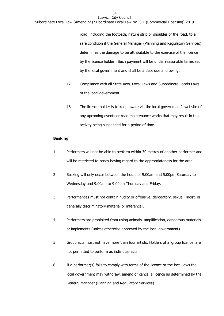road, including the footpath, nature strip or shoulder of the road, to a safe condition if the General Manager (Planning and Regulatory Services) determines the damage to be attributable to the exercise of the licence by the licence holder. Such payment will be under reasonable terms set by the local government and shall be a debt due and owing.

- 17 Compliance with all State Acts, Local Laws and Subordinate Locals Laws of the local government.
- 18 The licence holder is to keep aware via the local government's website of any upcoming events or road maintenance works that may result in this activity being suspended for a period of time.

### **Busking**

- 1 Performers will not be able to perform within 30 metres of another performer and will be restricted to zones having regard to the appropriateness for the area.
- 2 Busking will only occur between the hours of 9.00am and 5.00pm Saturday to Wednesday and 9.00am to 9.00pm Thursday and Friday.
- 3 Performances must not contain nudity or offensive, derogatory, sexual, racist, or generally discriminatory material or inference;.
- 4 Performers are prohibited from using animals, amplification, dangerous materials or implements (unless otherwise approved by the local government).
- 5 Group acts must not have more than four artists. Holders of a 'group licence' are not permitted to perform as individual acts.
- 6 If a performer(s) fails to comply with terms of the licence or the local laws the local government may withdraw, amend or cancel a licence as determined by the General Manager (Planning and Regulatory Services).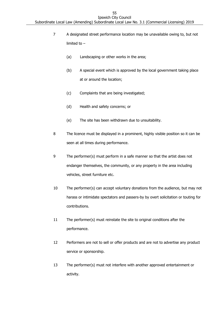- 7 A designated street performance location may be unavailable owing to, but not limited to –
	- (a) Landscaping or other works in the area;
	- (b) A special event which is approved by the local government taking place at or around the location;
	- (c) Complaints that are being investigated;
	- (d) Health and safety concerns; or
	- (e) The site has been withdrawn due to unsuitability.
- 8 The licence must be displayed in a prominent, highly visible position so it can be seen at all times during performance.
- 9 The performer(s) must perform in a safe manner so that the artist does not endanger themselves, the community, or any property in the area including vehicles, street furniture etc.
- 10 The performer(s) can accept voluntary donations from the audience, but may not harass or intimidate spectators and passers-by by overt solicitation or touting for contributions.
- 11 The performer(s) must reinstate the site to original conditions after the performance.
- 12 Performers are not to sell or offer products and are not to advertise any product service or sponsorship.
- 13 The performer(s) must not interfere with another approved entertainment or activity.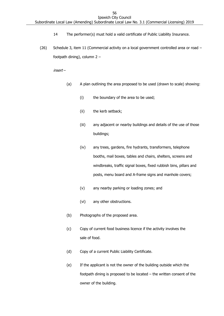- 14 The performer(s) must hold a valid certificate of Public Liability Insurance.
- (26) Schedule 3, item 11 (Commercial activity on a local government controlled area or road footpath dining), column 2 –

insert –

- (a) A plan outlining the area proposed to be used (drawn to scale) showing:
	- (i) the boundary of the area to be used;
	- (ii) the kerb setback;
	- (iii) any adjacent or nearby buildings and details of the use of those buildings;
	- (iv) any trees, gardens, fire hydrants, transformers, telephone booths, mail boxes, tables and chairs, shelters, screens and windbreaks, traffic signal boxes, fixed rubbish bins, pillars and posts, menu board and A-frame signs and manhole covers;
	- (v) any nearby parking or loading zones; and
	- (vi) any other obstructions.
- (b) Photographs of the proposed area.
- (c) Copy of current food business licence if the activity involves the sale of food.
- (d) Copy of a current Public Liability Certificate.
- (e) If the applicant is not the owner of the building outside which the footpath dining is proposed to be located – the written consent of the owner of the building.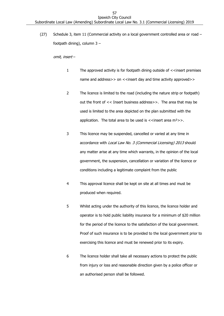(27) Schedule 3, item 11 (Commercial activity on a local government controlled area or road – footpath dining), column 3 –

- 1 The approved activity is for footpath dining outside of <<insert premises name and address>> on <<insert day and time activity approved>>
- 2 The licence is limited to the road (including the nature strip or footpath) out the front of << Insert business address>>. The area that may be used is limited to the area depicted on the plan submitted with the application. The total area to be used is  $\lt$  insert area m<sup>2</sup> >>.
- 3 This licence may be suspended, cancelled or varied at any time in accordance with *Local Law No. 3 (Commercial Licensing) 2013* should any matter arise at any time which warrants, in the opinion of the local government, the suspension, cancellation or variation of the licence or conditions including a legitimate complaint from the public
- 4 This approval licence shall be kept on site at all times and must be produced when required.
- 5 Whilst acting under the authority of this licence, the licence holder and operator is to hold public liability insurance for a minimum of \$20 million for the period of the licence to the satisfaction of the local government. Proof of such insurance is to be provided to the local government prior to exercising this licence and must be renewed prior to its expiry.
- 6 The licence holder shall take all necessary actions to protect the public from injury or loss and reasonable direction given by a police officer or an authorised person shall be followed.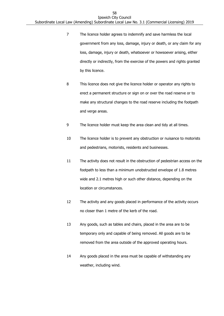- 7 The licence holder agrees to indemnify and save harmless the local government from any loss, damage, injury or death, or any claim for any loss, damage, injury or death, whatsoever or howsoever arising, either directly or indirectly, from the exercise of the powers and rights granted by this licence.
- 8 This licence does not give the licence holder or operator any rights to erect a permanent structure or sign on or over the road reserve or to make any structural changes to the road reserve including the footpath and verge areas.
- 9 The licence holder must keep the area clean and tidy at all times.
- 10 The licence holder is to prevent any obstruction or nuisance to motorists and pedestrians, motorists, residents and businesses.
- 11 The activity does not result in the obstruction of pedestrian access on the footpath to less than a minimum unobstructed envelope of 1.8 metres wide and 2.1 metres high or such other distance, depending on the location or circumstances.
- 12 The activity and any goods placed in performance of the activity occurs no closer than 1 metre of the kerb of the road.
- 13 Any goods, such as tables and chairs, placed in the area are to be temporary only and capable of being removed. All goods are to be removed from the area outside of the approved operating hours.
- 14 Any goods placed in the area must be capable of withstanding any weather, including wind.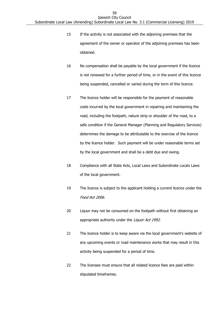- 15 If the activity is not associated with the adjoining premises that the agreement of the owner or operator of the adjoining premises has been obtained.
- 16 No compensation shall be payable by the local government if the licence is not renewed for a further period of time, or in the event of this licence being suspended, cancelled or varied during the term of this licence.
- 17 The licence holder will be responsible for the payment of reasonable costs incurred by the local government in repairing and maintaining the road, including the footpath, nature strip or shoulder of the road, to a safe condition if the General Manager (Planning and Regulatory Services) determines the damage to be attributable to the exercise of the licence by the licence holder. Such payment will be under reasonable terms set by the local government and shall be a debt due and owing.
- 18 Compliance with all State Acts, Local Laws and Subordinate Locals Laws of the local government.
- 19 The licence is subject to the applicant holding a current licence under the Food Act 2006.
- 20 Liquor may not be consumed on the footpath without first obtaining an appropriate authority under the Liquor Act 1992.
- 21 The licence holder is to keep aware via the local government's website of any upcoming events or road maintenance works that may result in this activity being suspended for a period of time.
- 22 The licensee must ensure that all related licence fees are paid within stipulated timeframes.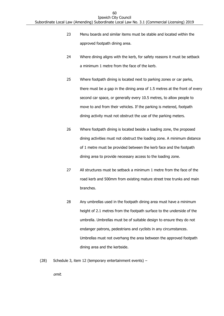- 23 Menu boards and similar items must be stable and located within the approved footpath dining area.
- 24 Where dining aligns with the kerb, for safety reasons it must be setback a minimum 1 metre from the face of the kerb.
- 25 Where footpath dining is located next to parking zones or car parks, there must be a gap in the dining area of 1.5 metres at the front of every second car space, or generally every 10.5 metres, to allow people to move to and from their vehicles. If the parking is metered, footpath dining activity must not obstruct the use of the parking meters.
- 26 Where footpath dining is located beside a loading zone, the proposed dining activities must not obstruct the loading zone. A minimum distance of 1 metre must be provided between the kerb face and the footpath dining area to provide necessary access to the loading zone.
- 27 All structures must be setback a minimum 1 metre from the face of the road kerb and 500mm from existing mature street tree trunks and main branches.
- 28 Any umbrellas used in the footpath dining area must have a minimum height of 2.1 metres from the footpath surface to the underside of the umbrella. Umbrellas must be of suitable design to ensure they do not endanger patrons, pedestrians and cyclists in any circumstances. Umbrellas must not overhang the area between the approved footpath dining area and the kerbside.
- (28) Schedule 3, item 12 (temporary entertainment events) –

omit.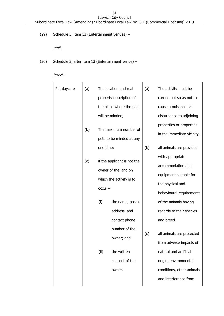(29) Schedule 3, item 13 (Entertainment venues) –

omit.

- (30) Schedule 3, after item 13 (Entertainment venue)
	- insert –

| Pet daycare | (a) |           | The location and real       | (a) | The activity must be       |
|-------------|-----|-----------|-----------------------------|-----|----------------------------|
|             |     |           | property description of     |     | carried out so as not to   |
|             |     |           | the place where the pets    |     | cause a nuisance or        |
|             |     |           | will be minded;             |     | disturbance to adjoining   |
|             |     |           |                             |     | properties or properties   |
|             | (b) |           | The maximum number of       |     | in the immediate vicinity. |
|             |     |           | pets to be minded at any    |     |                            |
|             |     | one time; |                             | (b) | all animals are provided   |
|             | (c) |           | if the applicant is not the |     | with appropriate           |
|             |     |           | owner of the land on        |     | accommodation and          |
|             |     |           |                             |     | equipment suitable for     |
|             |     |           | which the activity is to    |     | the physical and           |
|             |     | $occur -$ |                             |     | behavioural requirements   |
|             |     | (i)       | the name, postal            |     | of the animals having      |
|             |     |           | address, and                |     | regards to their species   |
|             |     |           | contact phone               |     | and breed.                 |
|             |     |           | number of the               |     |                            |
|             |     |           | owner; and                  | (c) | all animals are protected  |
|             |     |           |                             |     | from adverse impacts of    |
|             |     | (ii)      | the written                 |     | natural and artificial     |
|             |     |           | consent of the              |     | origin, environmental      |
|             |     |           | owner.                      |     | conditions, other animals  |
|             |     |           |                             |     | and interference from      |
|             |     |           |                             |     |                            |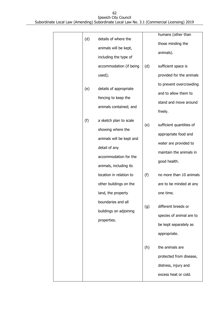| (d) | details of where the<br>animals will be kept,<br>including the type of                                            |     | humans (other than<br>those minding the<br>animals).                                                                 |
|-----|-------------------------------------------------------------------------------------------------------------------|-----|----------------------------------------------------------------------------------------------------------------------|
|     | accommodation (if being<br>used);                                                                                 | (d) | sufficient space is<br>provided for the animals                                                                      |
| (e) | details of appropriate<br>fencing to keep the<br>animals contained; and                                           |     | to prevent overcrowding<br>and to allow them to<br>stand and move around<br>freely.                                  |
| (f) | a sketch plan to scale<br>showing where the<br>animals will be kept and<br>detail of any<br>accommodation for the | (e) | sufficient quantities of<br>appropriate food and<br>water are provided to<br>maintain the animals in<br>good health. |
|     | animals, including its<br>location in relation to<br>other buildings on the<br>land, the property                 | (f) | no more than 10 animals<br>are to be minded at any<br>one time.                                                      |
|     | boundaries and all<br>buildings on adjoining<br>properties.                                                       | (g) | different breeds or<br>species of animal are to<br>be kept separately as<br>appropriate.                             |
|     |                                                                                                                   | (h) | the animals are<br>protected from disease,<br>distress, injury and<br>excess heat or cold.                           |
|     |                                                                                                                   |     |                                                                                                                      |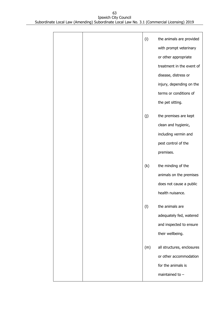|  | (i) | the animals are provided<br>with prompt veterinary<br>or other appropriate<br>treatment in the event of<br>disease, distress or<br>injury, depending on the<br>terms or conditions of<br>the pet sitting. |
|--|-----|-----------------------------------------------------------------------------------------------------------------------------------------------------------------------------------------------------------|
|  | (j) | the premises are kept<br>clean and hygienic,<br>including vermin and<br>pest control of the<br>premises.                                                                                                  |
|  | (k) | the minding of the<br>animals on the premises<br>does not cause a public<br>health nuisance.                                                                                                              |
|  | (1) | the animals are<br>adequately fed, watered<br>and inspected to ensure<br>their wellbeing.                                                                                                                 |
|  | (m) | all structures, enclosures<br>or other accommodation<br>for the animals is<br>maintained to $-$                                                                                                           |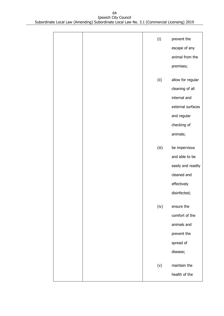|  | (i)   | prevent the        |
|--|-------|--------------------|
|  |       | escape of any      |
|  |       | animal from the    |
|  |       | premises;          |
|  |       |                    |
|  | (ii)  | allow for regular  |
|  |       | cleaning of all    |
|  |       | internal and       |
|  |       | external surfaces  |
|  |       | and regular        |
|  |       | checking of        |
|  |       | animals;           |
|  | (iii) | be impervious      |
|  |       | and able to be     |
|  |       | easily and readily |
|  |       | cleaned and        |
|  |       | effectively        |
|  |       | disinfected;       |
|  |       |                    |
|  | (iv)  | ensure the         |
|  |       | comfort of the     |
|  |       | animals and        |
|  |       | prevent the        |
|  |       | spread of          |
|  |       | disease;           |
|  | (v)   | maintain the       |
|  |       | health of the      |
|  |       |                    |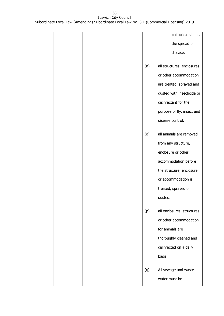|     | animals and limit          |
|-----|----------------------------|
|     | the spread of              |
|     | disease.                   |
| (n) | all structures, enclosures |
|     | or other accommodation     |
|     | are treated, sprayed and   |
|     | dusted with insecticide or |
|     | disinfectant for the       |
|     | purpose of fly, insect and |
|     | disease control.           |
| (0) | all animals are removed    |
|     | from any structure,        |
|     | enclosure or other         |
|     | accommodation before       |
|     | the structure, enclosure   |
|     | or accommodation is        |
|     | treated, sprayed or        |
|     | dusted.                    |
| (p) | all enclosures, structures |
|     | or other accommodation     |
|     | for animals are            |
|     | thoroughly cleaned and     |
|     | disinfected on a daily     |
|     | basis.                     |
| (q) | All sewage and waste       |
|     | water must be              |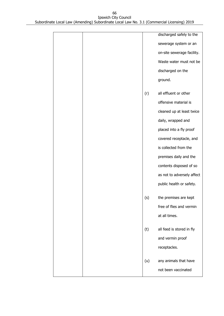|  |     | discharged safely to the   |
|--|-----|----------------------------|
|  |     | sewerage system or an      |
|  |     | on-site sewerage facility. |
|  |     | Waste water must not be    |
|  |     | discharged on the          |
|  |     | ground.                    |
|  | (r) | all effluent or other      |
|  |     | offensive material is      |
|  |     | cleaned up at least twice  |
|  |     | daily, wrapped and         |
|  |     | placed into a fly proof    |
|  |     | covered receptacle, and    |
|  |     | is collected from the      |
|  |     | premises daily and the     |
|  |     | contents disposed of so    |
|  |     | as not to adversely affect |
|  |     | public health or safety.   |
|  | (s) | the premises are kept      |
|  |     | free of flies and vermin   |
|  |     | at all times.              |
|  | (t) | all feed is stored in fly  |
|  |     | and vermin proof           |
|  |     | receptacles.               |
|  | (u) | any animals that have      |
|  |     | not been vaccinated        |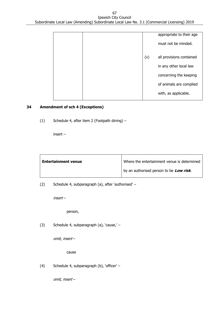|  |     | appropriate to their age |
|--|-----|--------------------------|
|  |     | must not be minded.      |
|  | (v) | all provisions contained |
|  |     | in any other local law   |
|  |     | concerning the keeping   |
|  |     | of animals are complied  |
|  |     | with, as applicable.     |
|  |     |                          |

### **34 Amendment of sch 4 (Exceptions)**

(1) Schedule 4, after item 2 (Footpath dining) –

insert –

| <b>Entertainment venue</b> | Where the entertainment venue is determined |
|----------------------------|---------------------------------------------|
|                            | by an authorised person to be Low risk.     |

(2) Schedule 4, subparagraph (a), after 'authorised' –

insert –

person,

(3) Schedule 4, subparagraph (a), 'cause,' –

omit, insert –

cause

(4) Schedule 4, subparagraph (b), 'officer' –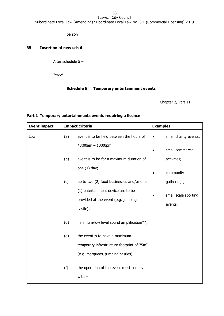person

## **35 Insertion of new sch 6**

After schedule 5 –

insert –

### **Schedule 6 Temporary entertainment events**

Chapter 2, Part 11

| <b>Event impact</b> |     | <b>Impact criteria</b>                                 | <b>Examples</b> |                                 |  |
|---------------------|-----|--------------------------------------------------------|-----------------|---------------------------------|--|
| Low                 | (a) | event is to be held between the hours of               |                 | small charity events;           |  |
|                     |     | $*8:00am - 10:00pm;$                                   | $\bullet$       | small commercial                |  |
|                     | (b) | event is to be for a maximum duration of               |                 | activities;                     |  |
|                     |     | one $(1)$ day;                                         | $\bullet$       | community                       |  |
|                     | (c) | up to two (2) food businesses and/or one               |                 | gatherings;                     |  |
|                     |     | (1) entertainment device are to be                     |                 |                                 |  |
|                     |     | provided at the event (e.g. jumping                    |                 |                                 |  |
|                     |     | castle);                                               |                 |                                 |  |
|                     | (d) | minimum/low level sound amplification**;               |                 |                                 |  |
|                     | (e) | the event is to have a maximum                         |                 |                                 |  |
|                     |     | temporary infrastructure footprint of 75m <sup>2</sup> |                 |                                 |  |
|                     |     | (e.g. marquees, jumping castles)                       |                 |                                 |  |
|                     | (f) | the operation of the event must comply<br>with $-$     |                 |                                 |  |
|                     |     |                                                        |                 | small scale sporting<br>events. |  |

## **Part 1 Temporary entertainments events requiring a licence**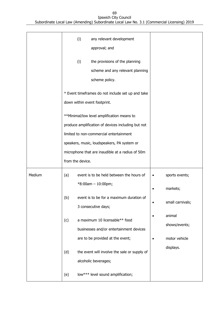|        |                                                                                                 | (i)              | any relevant development<br>approval; and                                         |  |                  |
|--------|-------------------------------------------------------------------------------------------------|------------------|-----------------------------------------------------------------------------------|--|------------------|
|        |                                                                                                 | (i)              | the provisions of the planning<br>scheme and any relevant planning                |  |                  |
|        |                                                                                                 |                  | scheme policy.                                                                    |  |                  |
|        |                                                                                                 |                  | * Event timeframes do not include set up and take<br>down within event footprint. |  |                  |
|        | **Minimal/low level amplification means to                                                      |                  |                                                                                   |  |                  |
|        | produce amplification of devices including but not                                              |                  |                                                                                   |  |                  |
|        | limited to non-commercial entertainment                                                         |                  |                                                                                   |  |                  |
|        | speakers, music, loudspeakers, PA system or<br>microphone that are inaudible at a radius of 50m |                  |                                                                                   |  |                  |
|        |                                                                                                 |                  |                                                                                   |  |                  |
|        |                                                                                                 | from the device. |                                                                                   |  |                  |
|        |                                                                                                 |                  |                                                                                   |  |                  |
| Medium | (a)                                                                                             |                  | event is to be held between the hours of                                          |  | sports events;   |
|        |                                                                                                 |                  | $*8:00am - 10:00pm;$                                                              |  | markets;         |
|        | (b)                                                                                             |                  | event is to be for a maximum duration of<br>3 consecutive days;                   |  | small carnivals; |
|        | (c)                                                                                             |                  | a maximum 10 licensable** food                                                    |  | animal           |
|        |                                                                                                 |                  | businesses and/or entertainment devices                                           |  | shows/events;    |
|        |                                                                                                 |                  | are to be provided at the event;                                                  |  | motor vehicle    |
|        | (d)                                                                                             |                  | the event will involve the sale or supply of                                      |  | displays.        |
|        |                                                                                                 |                  | alcoholic beverages;                                                              |  |                  |

69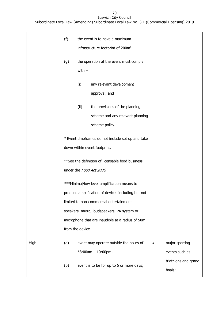|      | (f)              |                                                                                   | the event is to have a maximum<br>infrastructure footprint of 200m <sup>2</sup> ;                                                                                                                                                               |  |                                                          |
|------|------------------|-----------------------------------------------------------------------------------|-------------------------------------------------------------------------------------------------------------------------------------------------------------------------------------------------------------------------------------------------|--|----------------------------------------------------------|
|      | (g)              | with $-$                                                                          | the operation of the event must comply                                                                                                                                                                                                          |  |                                                          |
|      |                  | (i)                                                                               | any relevant development<br>approval; and                                                                                                                                                                                                       |  |                                                          |
|      |                  | (ii)                                                                              | the provisions of the planning<br>scheme and any relevant planning<br>scheme policy.                                                                                                                                                            |  |                                                          |
|      |                  | * Event timeframes do not include set up and take<br>down within event footprint. |                                                                                                                                                                                                                                                 |  |                                                          |
|      |                  | ** See the definition of licensable food business<br>under the Food Act 2006.     |                                                                                                                                                                                                                                                 |  |                                                          |
|      | from the device. |                                                                                   | ***Minimal/low level amplification means to<br>produce amplification of devices including but not<br>limited to non-commercial entertainment<br>speakers, music, loudspeakers, PA system or<br>microphone that are inaudible at a radius of 50m |  |                                                          |
| High | (a)              |                                                                                   | event may operate outside the hours of<br>$*8:00am - 10:00pm;$                                                                                                                                                                                  |  | major sporting<br>events such as<br>triathlons and grand |
|      | (b)              |                                                                                   | event is to be for up to 5 or more days;                                                                                                                                                                                                        |  | finals;                                                  |

70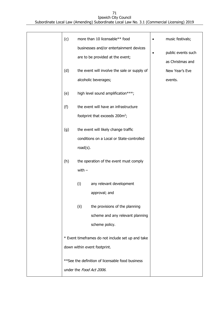| (c) |                                                   | more than 10 licensable** food                    | $\bullet$ | music festivals;   |
|-----|---------------------------------------------------|---------------------------------------------------|-----------|--------------------|
|     | businesses and/or entertainment devices           |                                                   |           |                    |
|     |                                                   | are to be provided at the event;                  | $\bullet$ | public events such |
|     |                                                   |                                                   |           | as Christmas and   |
| (d) |                                                   | the event will involve the sale or supply of      |           | New Year's Eve     |
|     |                                                   | alcoholic beverages;                              |           | events.            |
| (e) | high level sound amplification***;                |                                                   |           |                    |
| (f) |                                                   | the event will have an infrastructure             |           |                    |
|     |                                                   | footprint that exceeds 200m <sup>2</sup> ;        |           |                    |
| (g) |                                                   | the event will likely change traffic              |           |                    |
|     |                                                   | conditions on a Local or State-controlled         |           |                    |
|     | $road(s)$ .                                       |                                                   |           |                    |
|     |                                                   |                                                   |           |                    |
| (h) |                                                   | the operation of the event must comply            |           |                    |
|     | with $-$                                          |                                                   |           |                    |
|     | (i)                                               | any relevant development                          |           |                    |
|     |                                                   | approval; and                                     |           |                    |
|     |                                                   |                                                   |           |                    |
|     | (ii)                                              | the provisions of the planning                    |           |                    |
|     |                                                   | scheme and any relevant planning                  |           |                    |
|     |                                                   | scheme policy.                                    |           |                    |
|     | * Event timeframes do not include set up and take |                                                   |           |                    |
|     |                                                   | down within event footprint.                      |           |                    |
|     |                                                   |                                                   |           |                    |
|     |                                                   | ** See the definition of licensable food business |           |                    |
|     |                                                   | under the Food Act 2006.                          |           |                    |

71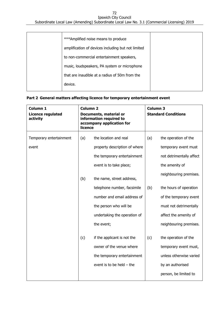### 72 Ipswich City Council

Subordinate Local Law (Amending) Subordinate Local Law No. 3.1 (Commercial Licensing) 2019

| *** Amplified noise means to produce               |  |
|----------------------------------------------------|--|
| amplification of devices including but not limited |  |
| to non-commercial entertainment speakers,          |  |
| music, loudspeakers, PA system or microphone       |  |
| that are inaudible at a radius of 50m from the     |  |
| device.                                            |  |

# **Part 2 General matters affecting licence for temporary entertainment event**

| Column 1<br><b>Licence regulated</b><br>activity | <b>Column 2</b><br>Documents, material or<br>information required to<br>accompany application for<br>licence |                                                                                                                      | <b>Column 3</b><br><b>Standard Conditions</b> |                                                                                                     |
|--------------------------------------------------|--------------------------------------------------------------------------------------------------------------|----------------------------------------------------------------------------------------------------------------------|-----------------------------------------------|-----------------------------------------------------------------------------------------------------|
| Temporary entertainment<br>event                 | (a)                                                                                                          | the location and real<br>property description of where<br>the temporary entertainment                                | (a)                                           | the operation of the<br>temporary event must<br>not detrimentally affect                            |
|                                                  | (b)                                                                                                          | event is to take place;<br>the name, street address,                                                                 |                                               | the amenity of<br>neighbouring premises.                                                            |
|                                                  |                                                                                                              | telephone number, facsimile<br>number and email address of<br>the person who will be<br>undertaking the operation of | (b)                                           | the hours of operation<br>of the temporary event<br>must not detrimentally<br>affect the amenity of |
|                                                  | (c)                                                                                                          | the event;<br>if the applicant is not the<br>owner of the venue where<br>the temporary entertainment                 | (c)                                           | neighbouring premises.<br>the operation of the<br>temporary event must,<br>unless otherwise varied  |
|                                                  |                                                                                                              | event is to be held $-$ the                                                                                          |                                               | by an authorised<br>person, be limited to                                                           |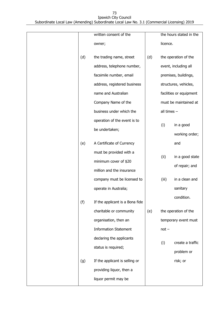|     | written consent of the          |     |             | the hours stated in the |
|-----|---------------------------------|-----|-------------|-------------------------|
|     | owner;                          |     | licence.    |                         |
|     |                                 |     |             |                         |
| (d) | the trading name, street        | (d) |             | the operation of the    |
|     | address, telephone number,      |     |             | event, including all    |
|     | facsimile number, email         |     |             | premises, buildings,    |
|     | address, registered business    |     |             | structures, vehicles,   |
|     | name and Australian             |     |             | facilities or equipment |
|     | Company Name of the             |     |             | must be maintained at   |
|     | business under which the        |     | all times - |                         |
|     | operation of the event is to    |     |             |                         |
|     | be undertaken;                  |     | (i)         | in a good               |
|     |                                 |     |             | working order;          |
| (e) | A Certificate of Currency       |     |             | and                     |
|     | must be provided with a         |     |             |                         |
|     | minimum cover of \$20           |     | (ii)        | in a good state         |
|     | million and the insurance       |     |             | of repair; and          |
|     | company must be licensed to     |     | (iii)       | in a clean and          |
|     | operate in Australia;           |     |             | sanitary                |
| (f) | If the applicant is a Bona fide |     |             | condition.              |
|     | charitable or community         | (e) |             | the operation of the    |
|     | organisation, then an           |     |             | temporary event must    |
|     | <b>Information Statement</b>    |     | $not -$     |                         |
|     | declaring the applicants        |     |             |                         |
|     | status is required;             |     | (i)         | create a traffic        |
|     |                                 |     |             | problem or              |
| (g) | If the applicant is selling or  |     |             | risk; or                |
|     | providing liquor, then a        |     |             |                         |
|     | liquor permit may be            |     |             |                         |
|     |                                 |     |             |                         |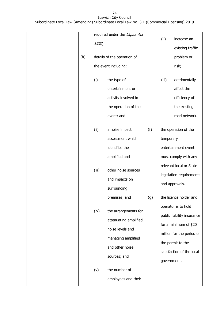| (h) | 1992; | required under the Liquor Act<br>details of the operation of<br>the event including:                                       |     | (ii)        | increase an<br>existing traffic<br>problem or<br>risk;                                                                                                    |
|-----|-------|----------------------------------------------------------------------------------------------------------------------------|-----|-------------|-----------------------------------------------------------------------------------------------------------------------------------------------------------|
|     | (i)   | the type of<br>entertainment or<br>activity involved in<br>the operation of the<br>event; and                              |     | (iii)       | detrimentally<br>affect the<br>efficiency of<br>the existing<br>road network.                                                                             |
|     | (ii)  | a noise impact<br>assessment which<br>identifies the<br>amplified and                                                      | (f) | temporary   | the operation of the<br>entertainment event<br>must comply with any                                                                                       |
|     | (iii) | other noise sources<br>and impacts on<br>surrounding<br>premises; and                                                      | (g) |             | relevant local or State<br>legislation requirements<br>and approvals.<br>the licence holder and                                                           |
|     | (iv)  | the arrangements for<br>attenuating amplified<br>noise levels and<br>managing amplified<br>and other noise<br>sources; and |     | government. | operator is to hold<br>public liability insurance<br>for a minimum of \$20<br>million for the period of<br>the permit to the<br>satisfaction of the local |
|     | (v)   | the number of<br>employees and their                                                                                       |     |             |                                                                                                                                                           |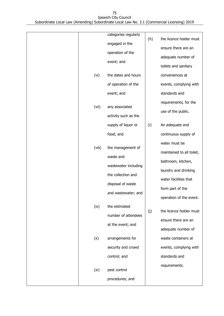|        | categories regularly | (h) | the licence holder must   |
|--------|----------------------|-----|---------------------------|
|        | engaged in the       |     | ensure there are an       |
|        | operation of the     |     | adequate number of        |
|        | event; and           |     | toilets and sanitary      |
|        | the dates and hours  |     | conveniences at           |
| (vi)   |                      |     |                           |
|        | of operation of the  |     | events, complying with    |
|        | event; and           |     | standards and             |
| (vii)  | any associated       |     | requirements, for the     |
|        | activity such as the |     | use of the public.        |
|        | supply of liquor or  | (i) | An adequate and           |
|        | food; and            |     | continuous supply of      |
|        |                      |     | water must be             |
| (viii) | the management of    |     | maintained to all toilet, |
|        | waste and            |     | bathroom, kitchen,        |
|        | wastewater including |     | laundry and drinking      |
|        | the collection and   |     | water facilities that     |
|        | disposal of waste    |     | form part of the          |
|        | and wastewater; and  |     | operation of the event.   |
| (ix)   | the estimated        |     |                           |
|        | number of attendees  | (j) | the licence holder must   |
|        | at the event; and    |     | ensure there are an       |
|        |                      |     | adequate number of        |
| (x)    | arrangements for     |     | waste containers at       |
|        | security and crowd   |     | events, complying with    |
|        | control; and         |     | standards and             |
| (xi)   | pest control         |     | requirements.             |
|        | procedures; and      |     |                           |
|        |                      |     |                           |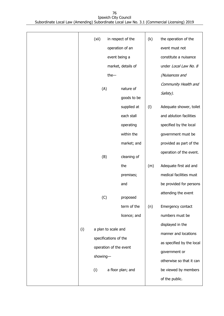|     | (xii)    |                        | in respect of the  | (k) | the operation of the      |
|-----|----------|------------------------|--------------------|-----|---------------------------|
|     |          |                        | operation of an    |     | event must not            |
|     |          | event being a          |                    |     | constitute a nuisance     |
|     |          |                        | market, details of |     | under Local Law No. 8     |
|     |          | the-                   |                    |     | (Nuisances and            |
|     |          |                        |                    |     | Community Health and      |
|     | (A)      |                        | nature of          |     | Safety).                  |
|     |          |                        | goods to be        |     |                           |
|     |          |                        | supplied at        | (1) | Adequate shower, toilet   |
|     |          |                        | each stall         |     | and ablution facilities   |
|     |          |                        | operating          |     | specified by the local    |
|     |          |                        | within the         |     | government must be        |
|     |          |                        | market; and        |     | provided as part of the   |
|     | (B)      |                        | cleaning of        |     | operation of the event.   |
|     |          |                        | the                | (m) | Adequate first aid and    |
|     |          |                        | premises;          |     | medical facilities must   |
|     |          |                        | and                |     | be provided for persons   |
|     | (C)      |                        | proposed           |     | attending the event       |
|     |          |                        | term of the        | (n) | Emergency contact         |
|     |          |                        | licence; and       |     | numbers must be           |
|     |          | a plan to scale and    |                    |     | displayed in the          |
| (i) |          |                        |                    |     | manner and locations      |
|     |          | specifications of the  |                    |     | as specified by the local |
|     |          | operation of the event |                    |     | government or             |
|     | showing- |                        |                    |     | otherwise so that it can  |
|     | (i)      |                        | a floor plan; and  |     | be viewed by members      |
|     |          |                        |                    |     | of the public.            |
|     |          |                        |                    |     |                           |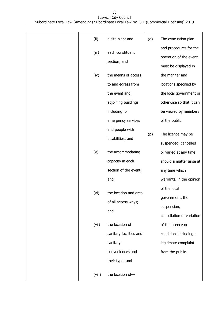| (ii)   | a site plan; and                     | (o) | The evacuation plan                                                      |
|--------|--------------------------------------|-----|--------------------------------------------------------------------------|
| (iii)  | each constituent<br>section; and     |     | and procedures for the<br>operation of the event<br>must be displayed in |
| (iv)   | the means of access                  |     | the manner and                                                           |
|        | to and egress from                   |     | locations specified by                                                   |
|        | the event and                        |     | the local government or                                                  |
|        | adjoining buildings                  |     | otherwise so that it can                                                 |
|        | including for                        |     | be viewed by members                                                     |
|        | emergency services                   |     | of the public.                                                           |
|        | and people with<br>disabilities; and | (p) | The licence may be<br>suspended, cancelled                               |
| (v)    | the accommodating                    |     | or varied at any time                                                    |
|        | capacity in each                     |     | should a matter arise at                                                 |
|        | section of the event;                |     | any time which                                                           |
|        | and                                  |     | warrants, in the opinion                                                 |
|        |                                      |     | of the local                                                             |
| (vi)   | the location and area                |     | government, the                                                          |
|        | of all access ways;                  |     | suspension,                                                              |
|        | and                                  |     | cancellation or variation                                                |
| (vii)  | the location of                      |     | of the licence or                                                        |
|        | sanitary facilities and              |     | conditions including a                                                   |
|        | sanitary                             |     | legitimate complaint                                                     |
|        | conveniences and                     |     | from the public.                                                         |
|        | their type; and                      |     |                                                                          |
| (viii) | the location of-                     |     |                                                                          |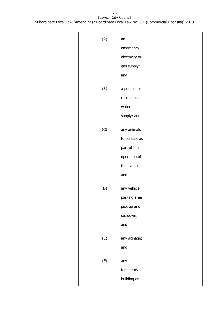| (A)                        | an             |  |
|----------------------------|----------------|--|
|                            | emergency      |  |
|                            | electricity or |  |
|                            | gas supply;    |  |
|                            | and            |  |
|                            |                |  |
| (B)                        | a potable or   |  |
|                            | recreational   |  |
|                            | water          |  |
|                            | supply; and    |  |
| (C)                        | any animals    |  |
|                            | to be kept as  |  |
|                            | part of the    |  |
|                            | operation of   |  |
|                            | the event;     |  |
|                            | and            |  |
|                            |                |  |
| $\left( \mathsf{D}\right)$ | any vehicle    |  |
|                            | parking area   |  |
|                            | pick up and    |  |
|                            | set down;      |  |
|                            | and            |  |
| (E)                        | any signage;   |  |
|                            | and            |  |
|                            |                |  |
| (F)                        | any            |  |
|                            | temporary      |  |
|                            | building or    |  |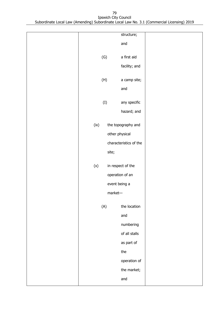|      |                | structure;             |  |
|------|----------------|------------------------|--|
|      |                | and                    |  |
|      |                |                        |  |
|      | (G)            | a first aid            |  |
|      |                | facility; and          |  |
|      |                |                        |  |
|      | (H)            | a camp site;           |  |
|      |                | and                    |  |
|      |                |                        |  |
|      | (I)            | any specific           |  |
|      |                | hazard; and            |  |
| (ix) |                | the topography and     |  |
|      |                |                        |  |
|      | other physical |                        |  |
|      |                | characteristics of the |  |
|      | site;          |                        |  |
|      |                |                        |  |
| (x)  |                | in respect of the      |  |
|      |                | operation of an        |  |
|      | event being a  |                        |  |
|      | $market-$      |                        |  |
|      |                |                        |  |
|      | (A)            | the location           |  |
|      |                | and                    |  |
|      |                | numbering              |  |
|      |                | of all stalls          |  |
|      |                | as part of             |  |
|      |                | the                    |  |
|      |                |                        |  |
|      |                | operation of           |  |
|      |                | the market;            |  |
|      |                | and                    |  |
|      |                |                        |  |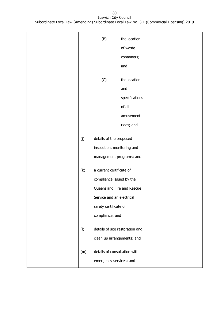|     | (B)                             | the location   |  |
|-----|---------------------------------|----------------|--|
|     |                                 | of waste       |  |
|     |                                 | containers;    |  |
|     |                                 | and            |  |
|     |                                 |                |  |
|     | (C)                             | the location   |  |
|     |                                 | and            |  |
|     |                                 | specifications |  |
|     |                                 | of all         |  |
|     |                                 | amusement      |  |
|     |                                 | rides; and     |  |
|     |                                 |                |  |
| (j) | details of the proposed         |                |  |
|     | inspection, monitoring and      |                |  |
|     | management programs; and        |                |  |
| (k) | a current certificate of        |                |  |
|     | compliance issued by the        |                |  |
|     | Queensland Fire and Rescue      |                |  |
|     | Service and an electrical       |                |  |
|     |                                 |                |  |
|     | safety certificate of           |                |  |
|     | compliance; and                 |                |  |
| (1) | details of site restoration and |                |  |
|     | clean up arrangements; and      |                |  |
|     |                                 |                |  |
| (m) | details of consultation with    |                |  |
|     | emergency services; and         |                |  |
|     |                                 |                |  |

80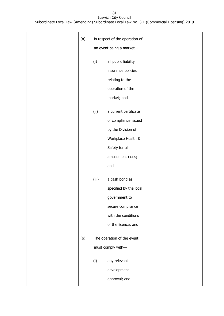| (n) |       | in respect of the operation of |  |
|-----|-------|--------------------------------|--|
|     |       | an event being a market-       |  |
|     | (i)   | all public liability           |  |
|     |       | insurance policies             |  |
|     |       | relating to the                |  |
|     |       | operation of the               |  |
|     |       | market; and                    |  |
|     |       |                                |  |
|     | (ii)  | a current certificate          |  |
|     |       | of compliance issued           |  |
|     |       | by the Division of             |  |
|     |       | Workplace Health &             |  |
|     |       | Safety for all                 |  |
|     |       | amusement rides;               |  |
|     |       | and                            |  |
|     | (iii) | a cash bond as                 |  |
|     |       | specified by the local         |  |
|     |       | government to                  |  |
|     |       | secure compliance              |  |
|     |       | with the conditions            |  |
|     |       | of the licence; and            |  |
|     |       |                                |  |
| (0) |       | The operation of the event     |  |
|     |       | must comply with-              |  |
|     | (i)   | any relevant                   |  |
|     |       | development                    |  |
|     |       | approval; and                  |  |
|     |       |                                |  |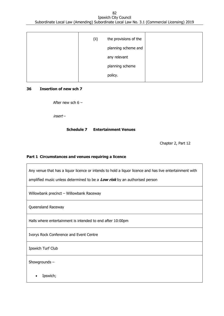| (ii) | the provisions of the<br>planning scheme and<br>any relevant |  |
|------|--------------------------------------------------------------|--|
|      | planning scheme                                              |  |
|      | policy.                                                      |  |

### **36 Insertion of new sch 7**

After new sch 6 –

insert –

#### **Schedule 7 Entertainment Venues**

Chapter 2, Part 12

## **Part 1 Circumstances and venues requiring a licence**

Any venue that has a liquor licence or intends to hold a liquor licence and has live entertainment with amplified music unless determined to be a **Low risk** by an authorised person Willowbank precinct – Willowbank Raceway Queensland Raceway Halls where entertainment is intended to end after 10:00pm Ivorys Rock Conference and Event Centre Ipswich Turf Club Showgrounds – • Ipswich;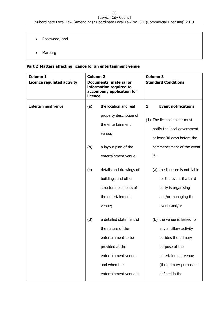- Rosewood; and
- Marburg

## **Part 2 Matters affecting licence for an entertainment venue**

| Column 1<br><b>Licence regulated activity</b> | <b>Column 2</b><br>Documents, material or<br>information required to<br>accompany application for<br>licence |                                                                                                                                                                                                                                            | <b>Column 3</b><br><b>Standard Conditions</b>                                                                                                                                                                                                                                                    |
|-----------------------------------------------|--------------------------------------------------------------------------------------------------------------|--------------------------------------------------------------------------------------------------------------------------------------------------------------------------------------------------------------------------------------------|--------------------------------------------------------------------------------------------------------------------------------------------------------------------------------------------------------------------------------------------------------------------------------------------------|
| Entertainment venue                           | (a)<br>(b)<br>(c)                                                                                            | the location and real<br>property description of<br>the entertainment<br>venue;<br>a layout plan of the<br>entertainment venue;<br>details and drawings of<br>buildings and other<br>structural elements of<br>the entertainment<br>venue; | <b>Event notifications</b><br>1<br>(1) The licence holder must<br>notify the local government<br>at least 30 days before the<br>commencement of the event<br>$if -$<br>(a) the licensee is not liable<br>for the event if a third<br>party is organising<br>and/or managing the<br>event; and/or |
|                                               | (d)                                                                                                          | a detailed statement of<br>the nature of the<br>entertainment to be<br>provided at the<br>entertainment venue<br>and when the<br>entertainment venue is                                                                                    | (b) the venue is leased for<br>any ancillary activity<br>besides the primary<br>purpose of the<br>entertainment venue<br>(the primary purpose is<br>defined in the                                                                                                                               |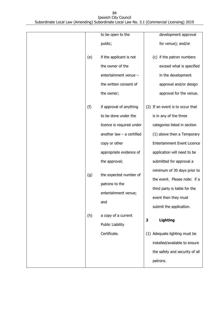|     | to be open to the                      | development approval                       |
|-----|----------------------------------------|--------------------------------------------|
|     | public;                                | for venue); and/or                         |
|     |                                        |                                            |
| (e) | if the applicant is not                | (c) if the patron numbers                  |
|     | the owner of the                       | exceed what is specified                   |
|     | entertainment venue -                  | in the development                         |
|     | the written consent of                 | approval and/or design                     |
|     | the owner;                             | approval for the venue.                    |
| (f) | if approval of anything                | (2) If an event is to occur that           |
|     | to be done under the                   | is in any of the three                     |
|     | licence is required under              | categories listed in section               |
|     | another law $-$ a certified            | (1) above then a Temporary                 |
|     | copy or other                          | <b>Entertainment Event Licence</b>         |
|     | appropriate evidence of                | application will need to be                |
|     | the approval;                          | submitted for approval a                   |
|     |                                        | minimum of 30 days prior to                |
| (g) | the expected number of                 | the event. Please note: if a               |
|     | patrons to the<br>entertainment venue; | third party is liable for the              |
|     |                                        | event then they must                       |
|     | and                                    | submit the application.                    |
| (h) | a copy of a current                    | $\overline{\mathbf{2}}$<br><b>Lighting</b> |
|     | <b>Public Liability</b>                |                                            |
|     | Certificate.                           | (1) Adequate lighting must be              |
|     |                                        | installed/available to ensure              |
|     |                                        | the safety and security of all             |
|     |                                        | patrons.                                   |
|     |                                        |                                            |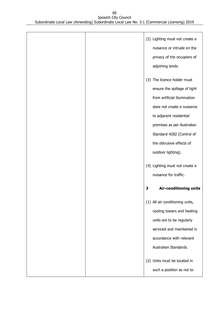|  |   | (2) Lighting must not create a  |
|--|---|---------------------------------|
|  |   | nuisance or intrude on the      |
|  |   | privacy of the occupiers of     |
|  |   | adjoining lands.                |
|  |   |                                 |
|  |   | (3) The licence holder must     |
|  |   | ensure the spillage of light    |
|  |   | from artificial illumination    |
|  |   | does not create a nuisance      |
|  |   | to adjacent residential         |
|  |   | premises as per Australian      |
|  |   | Standard 4282 (Control of       |
|  |   | the obtrusive effects of        |
|  |   | outdoor lighting).              |
|  |   |                                 |
|  |   | (4) Lighting must not create a  |
|  |   | nuisance for traffic.           |
|  | 3 | Air-conditioning units          |
|  |   |                                 |
|  |   | (1) All air conditioning units, |
|  |   | cooling towers and heating      |
|  |   | units are to be regularly       |
|  |   | serviced and maintained in      |
|  |   | accordance with relevant        |
|  |   | Australian Standards.           |
|  |   |                                 |
|  |   | (2) Units must be located in    |
|  |   | such a position as not to       |
|  |   |                                 |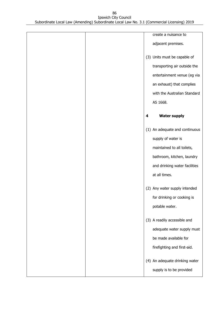|  |   | create a nuisance to           |
|--|---|--------------------------------|
|  |   | adjacent premises.             |
|  |   | (3) Units must be capable of   |
|  |   | transporting air outside the   |
|  |   | entertainment venue (eg via    |
|  |   | an exhaust) that complies      |
|  |   | with the Australian Standard   |
|  |   | AS 1668.                       |
|  | 4 | <b>Water supply</b>            |
|  |   | (1) An adequate and continuous |
|  |   | supply of water is             |
|  |   | maintained to all toilets,     |
|  |   | bathroom, kitchen, laundry     |
|  |   | and drinking water facilities  |
|  |   | at all times.                  |
|  |   | (2) Any water supply intended  |
|  |   | for drinking or cooking is     |
|  |   | potable water.                 |
|  |   | (3) A readily accessible and   |
|  |   | adequate water supply must     |
|  |   | be made available for          |
|  |   | firefighting and first-aid.    |
|  |   | (4) An adequate drinking water |
|  |   | supply is to be provided       |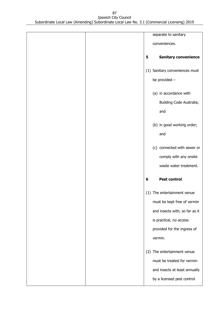|  |   | separate to sanitary           |
|--|---|--------------------------------|
|  |   | conveniences.                  |
|  |   |                                |
|  | 5 | <b>Sanitary convenience</b>    |
|  |   | (1) Sanitary conveniences must |
|  |   |                                |
|  |   | be provided -                  |
|  |   | (a) in accordance with         |
|  |   | Building Code Australia;       |
|  |   |                                |
|  |   | and                            |
|  |   | (b) in good working order;     |
|  |   | and                            |
|  |   |                                |
|  |   | (c) connected with sewer or    |
|  |   | comply with any onsite         |
|  |   | waste water treatment.         |
|  |   |                                |
|  | 6 | <b>Pest control</b>            |
|  |   |                                |
|  |   | (1) The entertainment venue    |
|  |   | must be kept free of vermin    |
|  |   | and insects with, so far as it |
|  |   | is practical, no access        |
|  |   | provided for the ingress of    |
|  |   | vermin.                        |
|  |   |                                |
|  |   | (2) The entertainment venue    |
|  |   | must be treated for vermin     |
|  |   | and insects at least annually  |
|  |   | by a licensed pest control     |
|  |   |                                |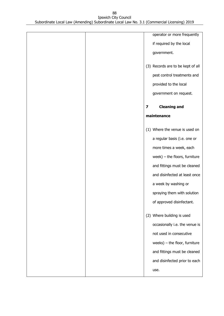| operator or more frequently       |
|-----------------------------------|
| if required by the local          |
| government.                       |
| (3) Records are to be kept of all |
| pest control treatments and       |
| provided to the local             |
| government on request.            |
| <b>Cleaning and</b><br>7          |
| maintenance                       |
| (1) Where the venue is used on    |
| a regular basis (i.e. one or      |
| more times a week, each           |
| week) $-$ the floors, furniture   |
| and fittings must be cleaned      |
| and disinfected at least once     |
|                                   |
| a week by washing or              |
| spraying them with solution       |
| of approved disinfectant.         |
| (2) Where building is used        |
| occasionally i.e. the venue is    |
| not used in consecutive           |
| weeks) $-$ the floor, furniture   |
| and fittings must be cleaned      |
| and disinfected prior to each     |
|                                   |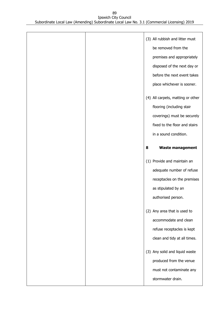|  |   | (3) All rubbish and litter must<br>be removed from the<br>premises and appropriately<br>disposed of the next day or<br>before the next event takes<br>place whichever is sooner.<br>(4) All carpets, matting or other<br>flooring (including stair |
|--|---|----------------------------------------------------------------------------------------------------------------------------------------------------------------------------------------------------------------------------------------------------|
|  |   | coverings) must be securely<br>fixed to the floor and stairs<br>in a sound condition.                                                                                                                                                              |
|  | 8 | <b>Waste management</b>                                                                                                                                                                                                                            |
|  |   | (1) Provide and maintain an<br>adequate number of refuse<br>receptacles on the premises<br>as stipulated by an<br>authorised person.                                                                                                               |
|  |   | (2) Any area that is used to<br>accommodate and clean<br>refuse receptacles is kept<br>clean and tidy at all times.                                                                                                                                |
|  |   | (3) Any solid and liquid waste<br>produced from the venue<br>must not contaminate any<br>stormwater drain.                                                                                                                                         |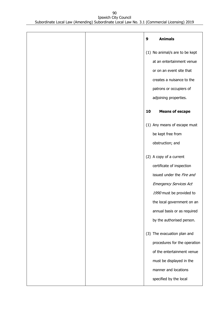|  | 9  | <b>Animals</b>                 |
|--|----|--------------------------------|
|  |    | (1) No animal/s are to be kept |
|  |    | at an entertainment venue      |
|  |    | or on an event site that       |
|  |    | creates a nuisance to the      |
|  |    | patrons or occupiers of        |
|  |    | adjoining properties.          |
|  | 10 | <b>Means of escape</b>         |
|  |    | (1) Any means of escape must   |
|  |    | be kept free from              |
|  |    | obstruction; and               |
|  |    | (2) A copy of a current        |
|  |    | certificate of inspection      |
|  |    | issued under the Fire and      |
|  |    | <b>Emergency Services Act</b>  |
|  |    | 1990 must be provided to       |
|  |    | the local government on an     |
|  |    | annual basis or as required    |
|  |    | by the authorised person.      |
|  |    | (3) The evacuation plan and    |
|  |    | procedures for the operation   |
|  |    | of the entertainment venue     |
|  |    | must be displayed in the       |
|  |    | manner and locations           |
|  |    | specified by the local         |
|  |    |                                |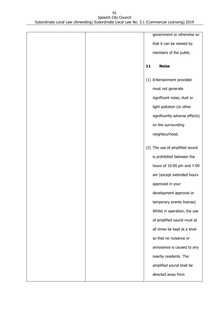|  |    | government or otherwise so     |
|--|----|--------------------------------|
|  |    | that it can be viewed by       |
|  |    | members of the public.         |
|  |    |                                |
|  | 11 | <b>Noise</b>                   |
|  |    | (1) Entertainment provided     |
|  |    | must not generate              |
|  |    | significant noise, dust or     |
|  |    | light pollution (or other      |
|  |    | significantly adverse effects) |
|  |    | on the surrounding             |
|  |    | neighbourhood.                 |
|  |    | (2) The use of amplified sound |
|  |    | is prohibited between the      |
|  |    | hours of 10:00 pm and 7:00     |
|  |    | am (except extended hours      |
|  |    | approved in your               |
|  |    | development approval or        |
|  |    | temporary events license).     |
|  |    | Whilst in operation, the use   |
|  |    | of amplified sound must at     |
|  |    | all times be kept at a level   |
|  |    | so that no nuisance or         |
|  |    | annoyance is caused to any     |
|  |    | nearby residents. The          |
|  |    | amplified sound shall be       |
|  |    | directed away from             |
|  |    |                                |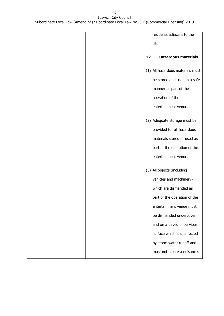|  |    | residents adjacent to the        |
|--|----|----------------------------------|
|  |    |                                  |
|  |    | site.                            |
|  |    |                                  |
|  | 12 | <b>Hazardous materials</b>       |
|  |    | (1) All hazardous materials must |
|  |    | be stored and used in a safe     |
|  |    | manner as part of the            |
|  |    | operation of the                 |
|  |    | entertainment venue.             |
|  |    | (2) Adequate storage must be     |
|  |    | provided for all hazardous       |
|  |    | materials stored or used as      |
|  |    | part of the operation of the     |
|  |    | entertainment venue.             |
|  |    | (3) All objects (including       |
|  |    | vehicles and machinery)          |
|  |    | which are dismantled as          |
|  |    | part of the operation of the     |
|  |    | entertainment venue must         |
|  |    | be dismantled undercover         |
|  |    | and on a paved impervious        |
|  |    | surface which is unaffected      |
|  |    | by storm water runoff and        |
|  |    | must not create a nuisance.      |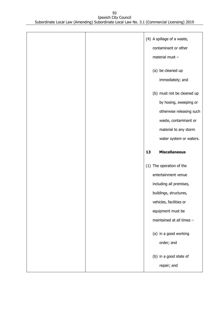|  |    | (4) A spillage of a waste,<br>contaminant or other<br>material must -            |
|--|----|----------------------------------------------------------------------------------|
|  |    | (a) be cleaned up<br>immediately; and                                            |
|  |    | (b) must not be cleaned up<br>by hosing, sweeping or<br>otherwise releasing such |
|  |    | waste, contaminant or<br>material to any storm                                   |
|  |    | water system or waters.                                                          |
|  | 13 | <b>Miscellaneous</b>                                                             |
|  |    | (1) The operation of the                                                         |
|  |    | entertainment venue<br>including all premises,                                   |
|  |    | buildings, structures,                                                           |
|  |    | vehicles, facilities or                                                          |
|  |    | equipment must be<br>maintained at all times -                                   |
|  |    | (a) in a good working<br>order; and                                              |
|  |    | (b) in a good state of<br>repair; and                                            |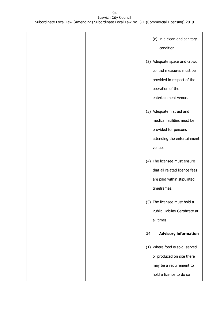|  | (c) in a clean and sanitary<br>condition.                                                                                          |
|--|------------------------------------------------------------------------------------------------------------------------------------|
|  | (2) Adequate space and crowd<br>control measures must be<br>provided in respect of the<br>operation of the<br>entertainment venue. |
|  | (3) Adequate first aid and<br>medical facilities must be<br>provided for persons<br>attending the entertainment<br>venue.          |
|  | (4) The licensee must ensure<br>that all related licence fees<br>are paid within stipulated<br>timeframes.                         |
|  | (5) The licensee must hold a<br>Public Liability Certificate at<br>all times.                                                      |
|  | <b>Advisory information</b><br>14                                                                                                  |
|  | (1) Where food is sold, served<br>or produced on site there<br>may be a requirement to<br>hold a licence to do so                  |